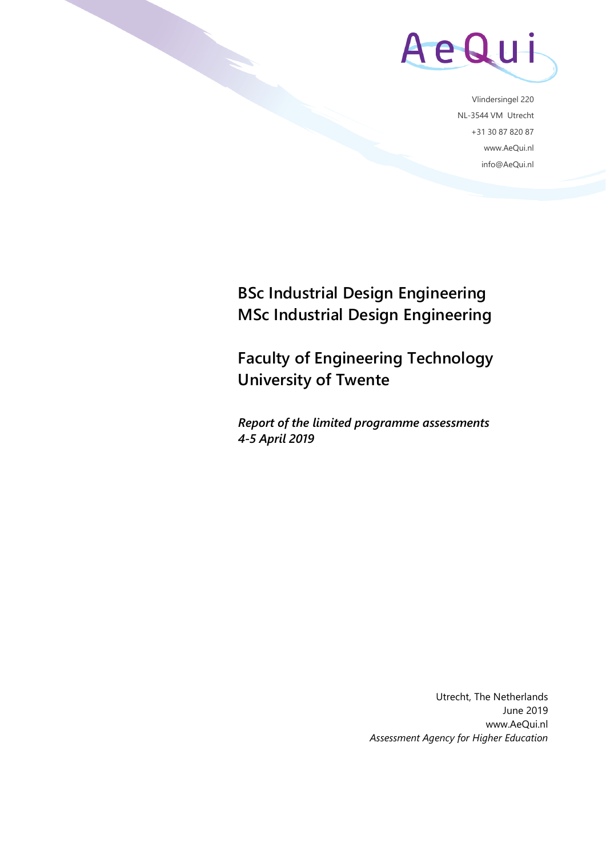

Vlindersingel 220 NL-3544 VM Utrecht +31 30 87 820 87 www.AeQui.nl info@AeQui.nl

## **BSc Industrial Design Engineering MSc Industrial Design Engineering**

**Faculty of Engineering Technology University of Twente**

*Report of the limited programme assessments 4-5 April 2019*

> Utrecht, The Netherlands June 2019 www.AeQui.nl *Assessment Agency for Higher Education*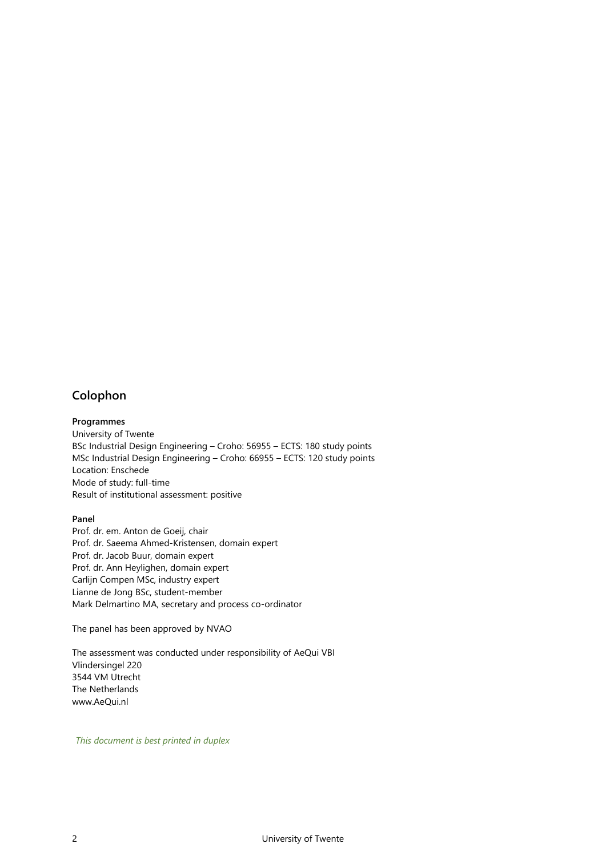## <span id="page-1-0"></span>**Colophon**

#### **Programmes**

University of Twente BSc Industrial Design Engineering – Croho: 56955 – ECTS: 180 study points MSc Industrial Design Engineering – Croho: 66955 – ECTS: 120 study points Location: Enschede Mode of study: full-time Result of institutional assessment: positive

#### **Panel**

Prof. dr. em. Anton de Goeij, chair Prof. dr. Saeema Ahmed-Kristensen, domain expert Prof. dr. Jacob Buur, domain expert Prof. dr. Ann Heylighen, domain expert Carlijn Compen MSc, industry expert Lianne de Jong BSc, student-member Mark Delmartino MA, secretary and process co-ordinator

The panel has been approved by NVAO

The assessment was conducted under responsibility of AeQui VBI Vlindersingel 220 3544 VM Utrecht The Netherlands www.AeQui.nl

*This document is best printed in duplex*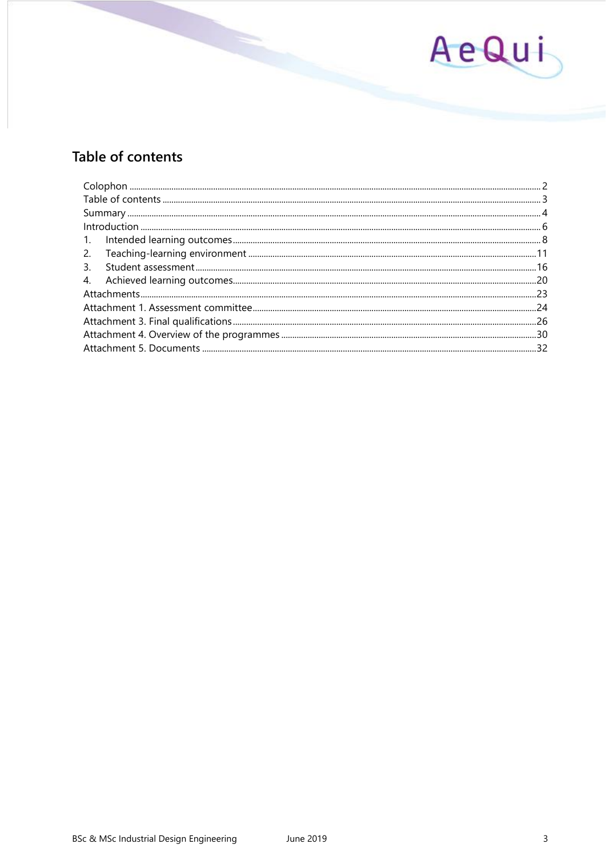

## <span id="page-2-0"></span>Table of contents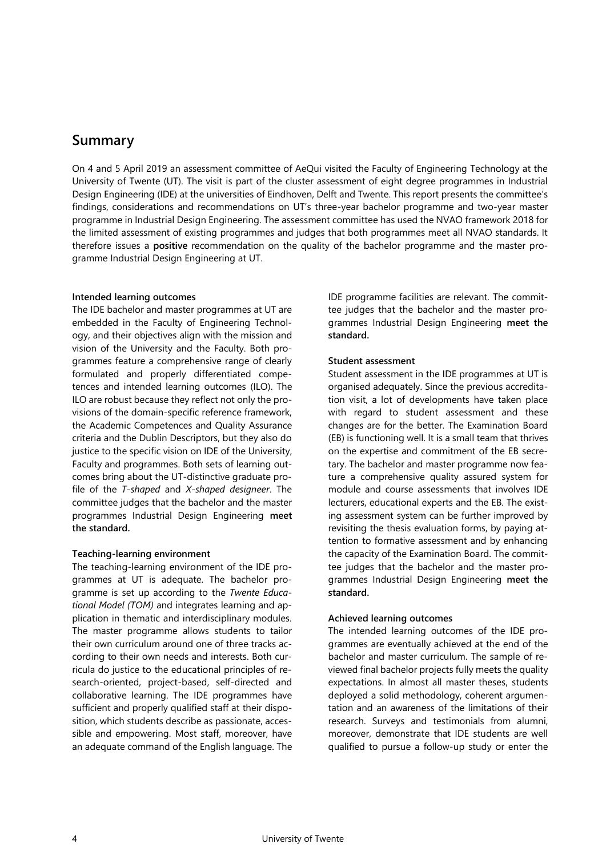## <span id="page-3-0"></span>**Summary**

On 4 and 5 April 2019 an assessment committee of AeQui visited the Faculty of Engineering Technology at the University of Twente (UT). The visit is part of the cluster assessment of eight degree programmes in Industrial Design Engineering (IDE) at the universities of Eindhoven, Delft and Twente. This report presents the committee's findings, considerations and recommendations on UT's three-year bachelor programme and two-year master programme in Industrial Design Engineering. The assessment committee has used the NVAO framework 2018 for the limited assessment of existing programmes and judges that both programmes meet all NVAO standards. It therefore issues a **positive** recommendation on the quality of the bachelor programme and the master programme Industrial Design Engineering at UT.

### **Intended learning outcomes**

The IDE bachelor and master programmes at UT are embedded in the Faculty of Engineering Technology, and their objectives align with the mission and vision of the University and the Faculty. Both programmes feature a comprehensive range of clearly formulated and properly differentiated competences and intended learning outcomes (ILO). The ILO are robust because they reflect not only the provisions of the domain-specific reference framework, the Academic Competences and Quality Assurance criteria and the Dublin Descriptors, but they also do justice to the specific vision on IDE of the University, Faculty and programmes. Both sets of learning outcomes bring about the UT-distinctive graduate profile of the *T-shaped* and *X-shaped designeer*. The committee judges that the bachelor and the master programmes Industrial Design Engineering **meet the standard.** 

#### **Teaching-learning environment**

The teaching-learning environment of the IDE programmes at UT is adequate. The bachelor programme is set up according to the *Twente Educational Model (TOM)* and integrates learning and application in thematic and interdisciplinary modules. The master programme allows students to tailor their own curriculum around one of three tracks according to their own needs and interests. Both curricula do justice to the educational principles of research-oriented, project-based, self-directed and collaborative learning. The IDE programmes have sufficient and properly qualified staff at their disposition, which students describe as passionate, accessible and empowering. Most staff, moreover, have an adequate command of the English language. The

IDE programme facilities are relevant. The committee judges that the bachelor and the master programmes Industrial Design Engineering **meet the standard.** 

### **Student assessment**

Student assessment in the IDE programmes at UT is organised adequately. Since the previous accreditation visit, a lot of developments have taken place with regard to student assessment and these changes are for the better. The Examination Board (EB) is functioning well. It is a small team that thrives on the expertise and commitment of the EB secretary. The bachelor and master programme now feature a comprehensive quality assured system for module and course assessments that involves IDE lecturers, educational experts and the EB. The existing assessment system can be further improved by revisiting the thesis evaluation forms, by paying attention to formative assessment and by enhancing the capacity of the Examination Board. The committee judges that the bachelor and the master programmes Industrial Design Engineering **meet the standard.** 

## **Achieved learning outcomes**

The intended learning outcomes of the IDE programmes are eventually achieved at the end of the bachelor and master curriculum. The sample of reviewed final bachelor projects fully meets the quality expectations. In almost all master theses, students deployed a solid methodology, coherent argumentation and an awareness of the limitations of their research. Surveys and testimonials from alumni, moreover, demonstrate that IDE students are well qualified to pursue a follow-up study or enter the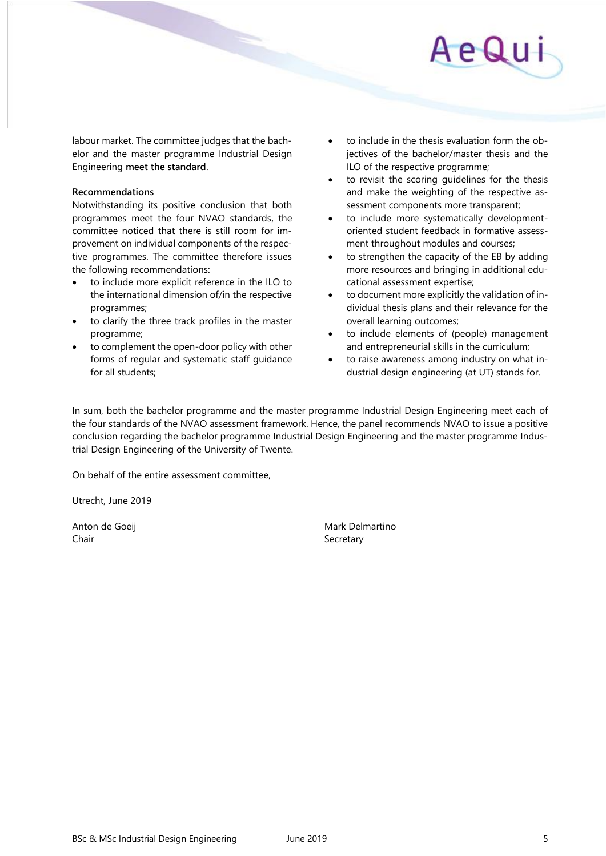labour market. The committee judges that the bachelor and the master programme Industrial Design Engineering **meet the standard**.

## **Recommendations**

Notwithstanding its positive conclusion that both programmes meet the four NVAO standards, the committee noticed that there is still room for improvement on individual components of the respective programmes. The committee therefore issues the following recommendations:

- to include more explicit reference in the ILO to the international dimension of/in the respective programmes;
- to clarify the three track profiles in the master programme;
- to complement the open-door policy with other forms of regular and systematic staff guidance for all students;
- to include in the thesis evaluation form the objectives of the bachelor/master thesis and the ILO of the respective programme;
- to revisit the scoring guidelines for the thesis and make the weighting of the respective assessment components more transparent;
- to include more systematically developmentoriented student feedback in formative assessment throughout modules and courses;
- to strengthen the capacity of the EB by adding more resources and bringing in additional educational assessment expertise;
- to document more explicitly the validation of individual thesis plans and their relevance for the overall learning outcomes;
- to include elements of (people) management and entrepreneurial skills in the curriculum;
- to raise awareness among industry on what industrial design engineering (at UT) stands for.

In sum, both the bachelor programme and the master programme Industrial Design Engineering meet each of the four standards of the NVAO assessment framework. Hence, the panel recommends NVAO to issue a positive conclusion regarding the bachelor programme Industrial Design Engineering and the master programme Industrial Design Engineering of the University of Twente.

On behalf of the entire assessment committee,

Utrecht, June 2019

Chair **Secretary** Secretary

Anton de Goeij **Mark Delmartino** Mark Delmartino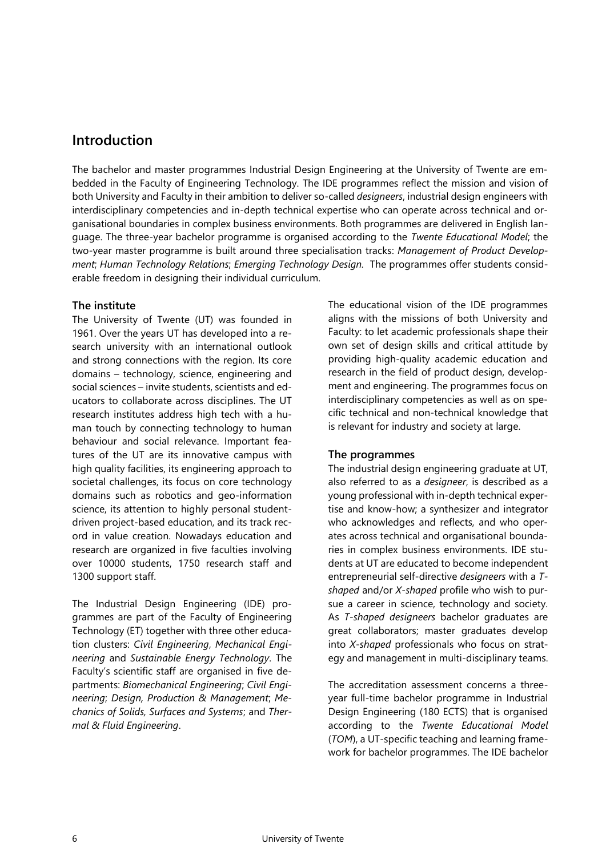## <span id="page-5-0"></span>**Introduction**

The bachelor and master programmes Industrial Design Engineering at the University of Twente are embedded in the Faculty of Engineering Technology. The IDE programmes reflect the mission and vision of both University and Faculty in their ambition to deliver so-called *designeers*, industrial design engineers with interdisciplinary competencies and in-depth technical expertise who can operate across technical and organisational boundaries in complex business environments. Both programmes are delivered in English language. The three-year bachelor programme is organised according to the *Twente Educational Model*; the two-year master programme is built around three specialisation tracks: *Management of Product Development*; *Human Technology Relations*; *Emerging Technology Design.* The programmes offer students considerable freedom in designing their individual curriculum.

## **The institute**

The University of Twente (UT) was founded in 1961. Over the years UT has developed into a research university with an international outlook and strong connections with the region. Its core domains – technology, science, engineering and social sciences – invite students, scientists and educators to collaborate across disciplines. The UT research institutes address high tech with a human touch by connecting technology to human behaviour and social relevance. Important features of the UT are its innovative campus with high quality facilities, its engineering approach to societal challenges, its focus on core technology domains such as robotics and geo-information science, its attention to highly personal studentdriven project-based education, and its track record in value creation. Nowadays education and research are organized in five faculties involving over 10000 students, 1750 research staff and 1300 support staff.

The Industrial Design Engineering (IDE) programmes are part of the Faculty of Engineering Technology (ET) together with three other education clusters: *Civil Engineering*, *Mechanical Engineering* and *Sustainable Energy Technology*. The Faculty's scientific staff are organised in five departments: *Biomechanical Engineering*; *Civil Engineering*; *Design, Production & Management*; *Mechanics of Solids, Surfaces and Systems*; and *Thermal & Fluid Engineering*.

The educational vision of the IDE programmes aligns with the missions of both University and Faculty: to let academic professionals shape their own set of design skills and critical attitude by providing high-quality academic education and research in the field of product design, development and engineering. The programmes focus on interdisciplinary competencies as well as on specific technical and non-technical knowledge that is relevant for industry and society at large.

## **The programmes**

The industrial design engineering graduate at UT, also referred to as a *designeer*, is described as a young professional with in-depth technical expertise and know-how; a synthesizer and integrator who acknowledges and reflects, and who operates across technical and organisational boundaries in complex business environments. IDE students at UT are educated to become independent entrepreneurial self-directive *designeers* with a *Tshaped* and/or *X-shaped* profile who wish to pursue a career in science, technology and society. As *T-shaped designeers* bachelor graduates are great collaborators; master graduates develop into *X-shaped* professionals who focus on strategy and management in multi-disciplinary teams.

The accreditation assessment concerns a threeyear full-time bachelor programme in Industrial Design Engineering (180 ECTS) that is organised according to the *Twente Educational Model* (*TOM*), a UT-specific teaching and learning framework for bachelor programmes. The IDE bachelor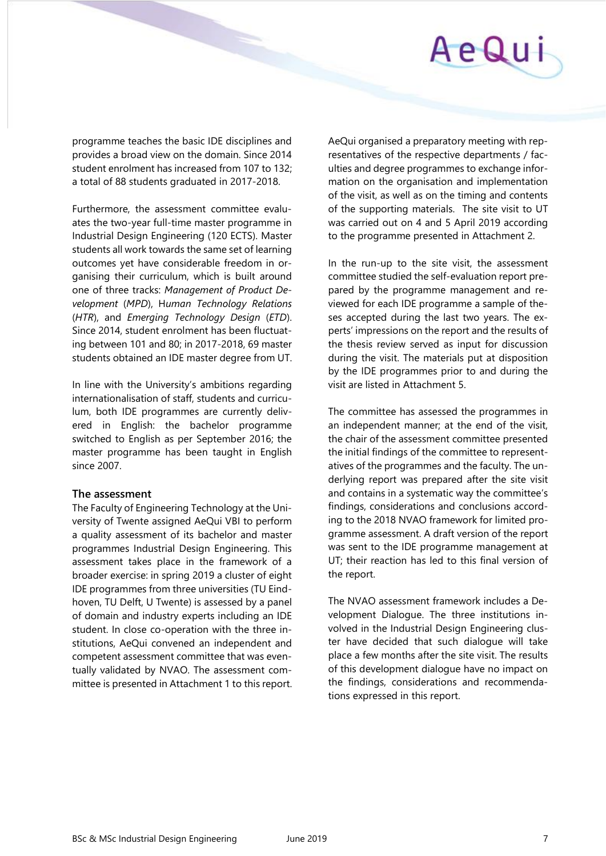

programme teaches the basic IDE disciplines and provides a broad view on the domain. Since 2014 student enrolment has increased from 107 to 132; a total of 88 students graduated in 2017-2018.

Furthermore, the assessment committee evaluates the two-year full-time master programme in Industrial Design Engineering (120 ECTS). Master students all work towards the same set of learning outcomes yet have considerable freedom in organising their curriculum, which is built around one of three tracks: *Management of Product Development* (*MPD*), H*uman Technology Relations* (*HTR*), and *Emerging Technology Design* (*ETD*). Since 2014, student enrolment has been fluctuating between 101 and 80; in 2017-2018, 69 master students obtained an IDE master degree from UT.

In line with the University's ambitions regarding internationalisation of staff, students and curriculum, both IDE programmes are currently delivered in English: the bachelor programme switched to English as per September 2016; the master programme has been taught in English since 2007.

### **The assessment**

The Faculty of Engineering Technology at the University of Twente assigned AeQui VBI to perform a quality assessment of its bachelor and master programmes Industrial Design Engineering. This assessment takes place in the framework of a broader exercise: in spring 2019 a cluster of eight IDE programmes from three universities (TU Eindhoven, TU Delft, U Twente) is assessed by a panel of domain and industry experts including an IDE student. In close co-operation with the three institutions, AeQui convened an independent and competent assessment committee that was eventually validated by NVAO. The assessment committee is presented in Attachment 1 to this report.

AeQui organised a preparatory meeting with representatives of the respective departments / faculties and degree programmes to exchange information on the organisation and implementation of the visit, as well as on the timing and contents of the supporting materials. The site visit to UT was carried out on 4 and 5 April 2019 according to the programme presented in Attachment 2.

In the run-up to the site visit, the assessment committee studied the self-evaluation report prepared by the programme management and reviewed for each IDE programme a sample of theses accepted during the last two years. The experts' impressions on the report and the results of the thesis review served as input for discussion during the visit. The materials put at disposition by the IDE programmes prior to and during the visit are listed in Attachment 5.

The committee has assessed the programmes in an independent manner; at the end of the visit, the chair of the assessment committee presented the initial findings of the committee to representatives of the programmes and the faculty. The underlying report was prepared after the site visit and contains in a systematic way the committee's findings, considerations and conclusions according to the 2018 NVAO framework for limited programme assessment. A draft version of the report was sent to the IDE programme management at UT; their reaction has led to this final version of the report.

The NVAO assessment framework includes a Development Dialogue. The three institutions involved in the Industrial Design Engineering cluster have decided that such dialogue will take place a few months after the site visit. The results of this development dialogue have no impact on the findings, considerations and recommendations expressed in this report.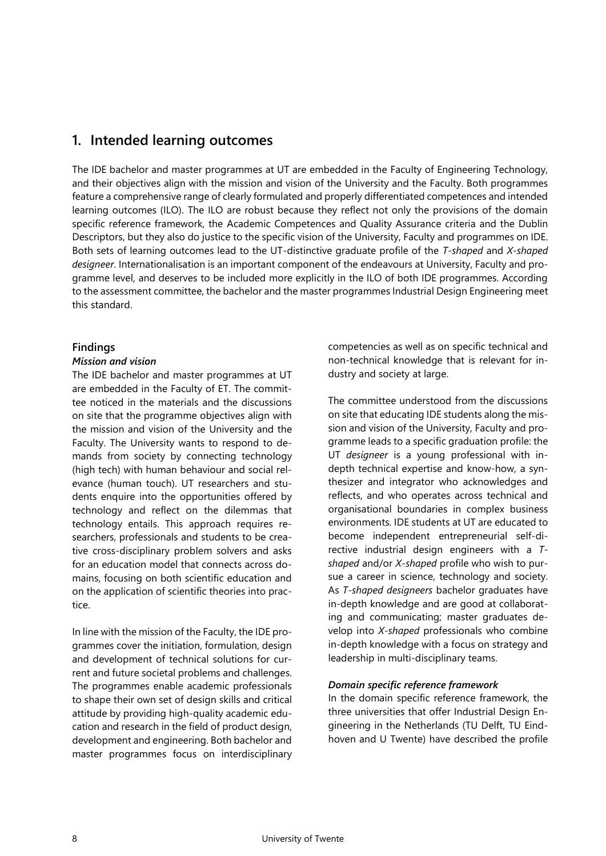## <span id="page-7-0"></span>**1. Intended learning outcomes**

The IDE bachelor and master programmes at UT are embedded in the Faculty of Engineering Technology, and their objectives align with the mission and vision of the University and the Faculty. Both programmes feature a comprehensive range of clearly formulated and properly differentiated competences and intended learning outcomes (ILO). The ILO are robust because they reflect not only the provisions of the domain specific reference framework, the Academic Competences and Quality Assurance criteria and the Dublin Descriptors, but they also do justice to the specific vision of the University, Faculty and programmes on IDE. Both sets of learning outcomes lead to the UT-distinctive graduate profile of the *T-shaped* and *X-shaped designeer*. Internationalisation is an important component of the endeavours at University, Faculty and programme level, and deserves to be included more explicitly in the ILO of both IDE programmes. According to the assessment committee, the bachelor and the master programmes Industrial Design Engineering meet this standard.

## **Findings**

### *Mission and vision*

The IDE bachelor and master programmes at UT are embedded in the Faculty of ET. The committee noticed in the materials and the discussions on site that the programme objectives align with the mission and vision of the University and the Faculty. The University wants to respond to demands from society by connecting technology (high tech) with human behaviour and social relevance (human touch). UT researchers and students enquire into the opportunities offered by technology and reflect on the dilemmas that technology entails. This approach requires researchers, professionals and students to be creative cross-disciplinary problem solvers and asks for an education model that connects across domains, focusing on both scientific education and on the application of scientific theories into practice.

In line with the mission of the Faculty, the IDE programmes cover the initiation, formulation, design and development of technical solutions for current and future societal problems and challenges. The programmes enable academic professionals to shape their own set of design skills and critical attitude by providing high-quality academic education and research in the field of product design, development and engineering. Both bachelor and master programmes focus on interdisciplinary competencies as well as on specific technical and non-technical knowledge that is relevant for industry and society at large.

The committee understood from the discussions on site that educating IDE students along the mission and vision of the University, Faculty and programme leads to a specific graduation profile: the UT *designeer* is a young professional with indepth technical expertise and know-how, a synthesizer and integrator who acknowledges and reflects, and who operates across technical and organisational boundaries in complex business environments. IDE students at UT are educated to become independent entrepreneurial self-directive industrial design engineers with a *Tshaped* and/or *X-shaped* profile who wish to pursue a career in science, technology and society. As *T-shaped designeers* bachelor graduates have in-depth knowledge and are good at collaborating and communicating; master graduates develop into *X-shaped* professionals who combine in-depth knowledge with a focus on strategy and leadership in multi-disciplinary teams.

## *Domain specific reference framework*

In the domain specific reference framework, the three universities that offer Industrial Design Engineering in the Netherlands (TU Delft, TU Eindhoven and U Twente) have described the profile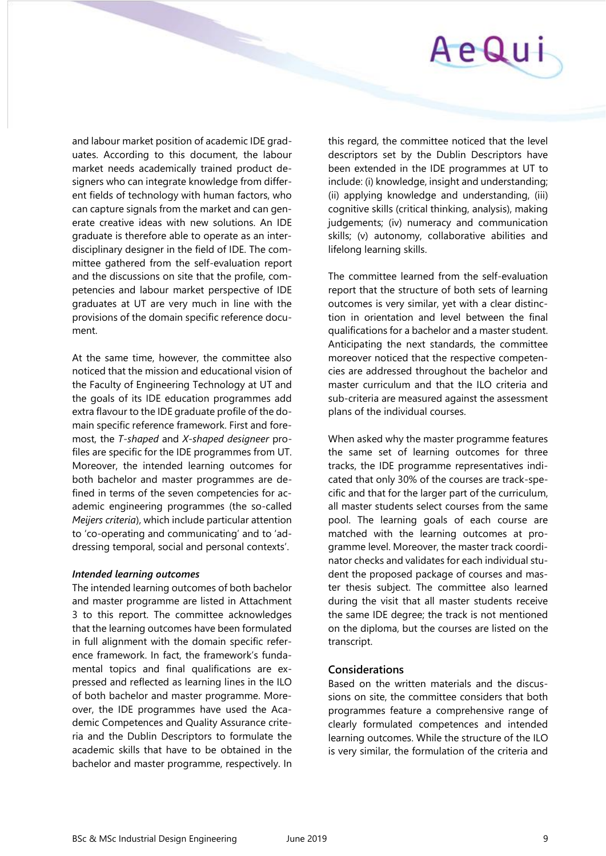

and labour market position of academic IDE graduates. According to this document, the labour market needs academically trained product designers who can integrate knowledge from different fields of technology with human factors, who can capture signals from the market and can generate creative ideas with new solutions. An IDE graduate is therefore able to operate as an interdisciplinary designer in the field of IDE. The committee gathered from the self-evaluation report and the discussions on site that the profile, competencies and labour market perspective of IDE graduates at UT are very much in line with the provisions of the domain specific reference document.

At the same time, however, the committee also noticed that the mission and educational vision of the Faculty of Engineering Technology at UT and the goals of its IDE education programmes add extra flavour to the IDE graduate profile of the domain specific reference framework. First and foremost, the *T-shaped* and *X-shaped designeer* profiles are specific for the IDE programmes from UT. Moreover, the intended learning outcomes for both bachelor and master programmes are defined in terms of the seven competencies for academic engineering programmes (the so-called *Meijers criteria*), which include particular attention to 'co-operating and communicating' and to 'addressing temporal, social and personal contexts'.

#### *Intended learning outcomes*

The intended learning outcomes of both bachelor and master programme are listed in Attachment 3 to this report. The committee acknowledges that the learning outcomes have been formulated in full alignment with the domain specific reference framework. In fact, the framework's fundamental topics and final qualifications are expressed and reflected as learning lines in the ILO of both bachelor and master programme. Moreover, the IDE programmes have used the Academic Competences and Quality Assurance criteria and the Dublin Descriptors to formulate the academic skills that have to be obtained in the bachelor and master programme, respectively. In

this regard, the committee noticed that the level descriptors set by the Dublin Descriptors have been extended in the IDE programmes at UT to include: (i) knowledge, insight and understanding; (ii) applying knowledge and understanding, (iii) cognitive skills (critical thinking, analysis), making judgements; (iv) numeracy and communication skills; (v) autonomy, collaborative abilities and lifelong learning skills.

The committee learned from the self-evaluation report that the structure of both sets of learning outcomes is very similar, yet with a clear distinction in orientation and level between the final qualifications for a bachelor and a master student. Anticipating the next standards, the committee moreover noticed that the respective competencies are addressed throughout the bachelor and master curriculum and that the ILO criteria and sub-criteria are measured against the assessment plans of the individual courses.

When asked why the master programme features the same set of learning outcomes for three tracks, the IDE programme representatives indicated that only 30% of the courses are track-specific and that for the larger part of the curriculum, all master students select courses from the same pool. The learning goals of each course are matched with the learning outcomes at programme level. Moreover, the master track coordinator checks and validates for each individual student the proposed package of courses and master thesis subject. The committee also learned during the visit that all master students receive the same IDE degree; the track is not mentioned on the diploma, but the courses are listed on the transcript.

## **Considerations**

Based on the written materials and the discussions on site, the committee considers that both programmes feature a comprehensive range of clearly formulated competences and intended learning outcomes. While the structure of the ILO is very similar, the formulation of the criteria and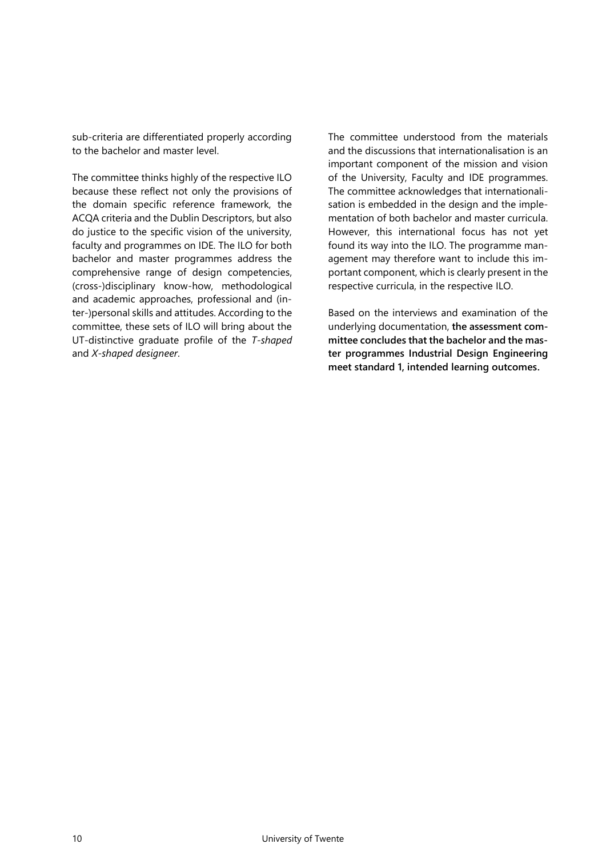sub-criteria are differentiated properly according to the bachelor and master level.

The committee thinks highly of the respective ILO because these reflect not only the provisions of the domain specific reference framework, the ACQA criteria and the Dublin Descriptors, but also do justice to the specific vision of the university, faculty and programmes on IDE. The ILO for both bachelor and master programmes address the comprehensive range of design competencies, (cross-)disciplinary know-how, methodological and academic approaches, professional and (inter-)personal skills and attitudes. According to the committee, these sets of ILO will bring about the UT-distinctive graduate profile of the *T-shaped* and *X-shaped designeer*.

The committee understood from the materials and the discussions that internationalisation is an important component of the mission and vision of the University, Faculty and IDE programmes. The committee acknowledges that internationalisation is embedded in the design and the implementation of both bachelor and master curricula. However, this international focus has not yet found its way into the ILO. The programme management may therefore want to include this important component, which is clearly present in the respective curricula, in the respective ILO.

Based on the interviews and examination of the underlying documentation, **the assessment committee concludes that the bachelor and the master programmes Industrial Design Engineering meet standard 1, intended learning outcomes.**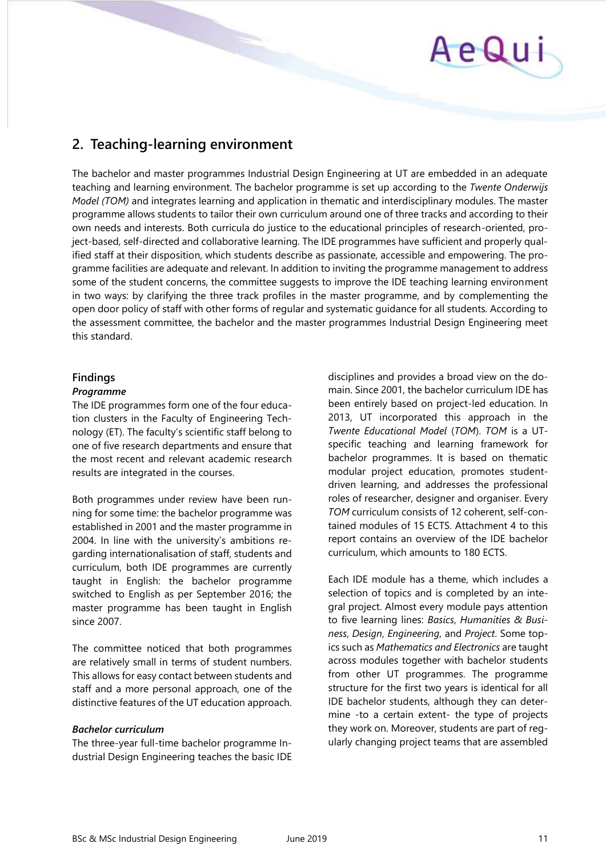## AeQui

## <span id="page-10-0"></span>**2. Teaching-learning environment**

The bachelor and master programmes Industrial Design Engineering at UT are embedded in an adequate teaching and learning environment. The bachelor programme is set up according to the *Twente Onderwijs Model (TOM)* and integrates learning and application in thematic and interdisciplinary modules. The master programme allows students to tailor their own curriculum around one of three tracks and according to their own needs and interests. Both curricula do justice to the educational principles of research-oriented, project-based, self-directed and collaborative learning. The IDE programmes have sufficient and properly qualified staff at their disposition, which students describe as passionate, accessible and empowering. The programme facilities are adequate and relevant. In addition to inviting the programme management to address some of the student concerns, the committee suggests to improve the IDE teaching learning environment in two ways: by clarifying the three track profiles in the master programme, and by complementing the open door policy of staff with other forms of regular and systematic guidance for all students. According to the assessment committee, the bachelor and the master programmes Industrial Design Engineering meet this standard.

## **Findings**

## *Programme*

The IDE programmes form one of the four education clusters in the Faculty of Engineering Technology (ET). The faculty's scientific staff belong to one of five research departments and ensure that the most recent and relevant academic research results are integrated in the courses.

Both programmes under review have been running for some time: the bachelor programme was established in 2001 and the master programme in 2004. In line with the university's ambitions regarding internationalisation of staff, students and curriculum, both IDE programmes are currently taught in English: the bachelor programme switched to English as per September 2016; the master programme has been taught in English since 2007.

The committee noticed that both programmes are relatively small in terms of student numbers. This allows for easy contact between students and staff and a more personal approach, one of the distinctive features of the UT education approach.

## *Bachelor curriculum*

The three-year full-time bachelor programme Industrial Design Engineering teaches the basic IDE disciplines and provides a broad view on the domain. Since 2001, the bachelor curriculum IDE has been entirely based on project-led education. In 2013, UT incorporated this approach in the *Twente Educational Model* (*TOM*). *TOM* is a UTspecific teaching and learning framework for bachelor programmes. It is based on thematic modular project education, promotes studentdriven learning, and addresses the professional roles of researcher, designer and organiser. Every *TOM* curriculum consists of 12 coherent, self-contained modules of 15 ECTS. Attachment 4 to this report contains an overview of the IDE bachelor curriculum, which amounts to 180 ECTS.

Each IDE module has a theme, which includes a selection of topics and is completed by an integral project. Almost every module pays attention to five learning lines: *Basics*, *Humanities & Business*, *Design*, *Engineering*, and *Project*. Some topics such as *Mathematics and Electronics* are taught across modules together with bachelor students from other UT programmes. The programme structure for the first two years is identical for all IDE bachelor students, although they can determine -to a certain extent- the type of projects they work on. Moreover, students are part of regularly changing project teams that are assembled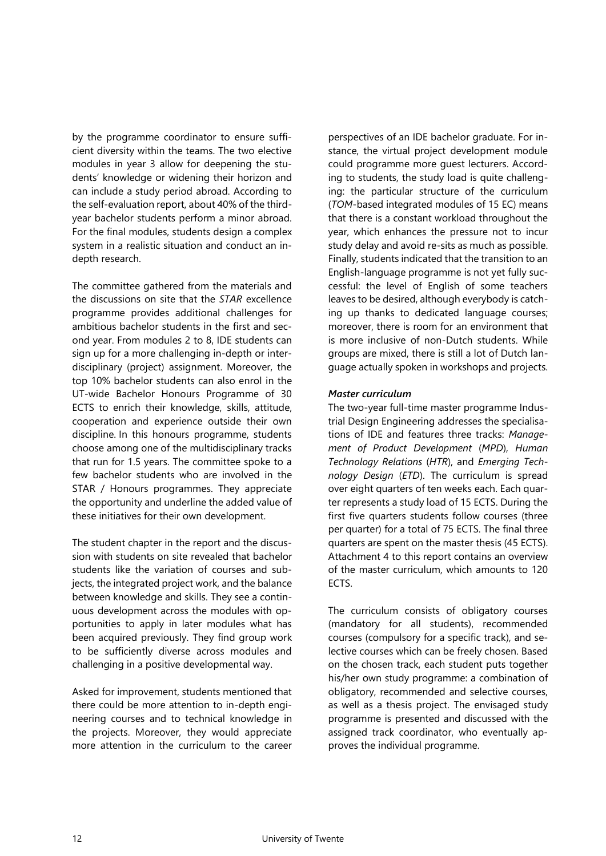by the programme coordinator to ensure sufficient diversity within the teams. The two elective modules in year 3 allow for deepening the students' knowledge or widening their horizon and can include a study period abroad. According to the self-evaluation report, about 40% of the thirdyear bachelor students perform a minor abroad. For the final modules, students design a complex system in a realistic situation and conduct an indepth research.

The committee gathered from the materials and the discussions on site that the *STAR* excellence programme provides additional challenges for ambitious bachelor students in the first and second year. From modules 2 to 8, IDE students can sign up for a more challenging in-depth or interdisciplinary (project) assignment. Moreover, the top 10% bachelor students can also enrol in the UT-wide Bachelor Honours Programme of 30 ECTS to enrich their knowledge, skills, attitude, cooperation and experience outside their own discipline. In this honours programme, students choose among one of the multidisciplinary tracks that run for 1.5 years. The committee spoke to a few bachelor students who are involved in the STAR / Honours programmes. They appreciate the opportunity and underline the added value of these initiatives for their own development.

The student chapter in the report and the discussion with students on site revealed that bachelor students like the variation of courses and subjects, the integrated project work, and the balance between knowledge and skills. They see a continuous development across the modules with opportunities to apply in later modules what has been acquired previously. They find group work to be sufficiently diverse across modules and challenging in a positive developmental way.

Asked for improvement, students mentioned that there could be more attention to in-depth engineering courses and to technical knowledge in the projects. Moreover, they would appreciate more attention in the curriculum to the career

perspectives of an IDE bachelor graduate. For instance, the virtual project development module could programme more guest lecturers. According to students, the study load is quite challenging: the particular structure of the curriculum (*TOM*-based integrated modules of 15 EC) means that there is a constant workload throughout the year, which enhances the pressure not to incur study delay and avoid re-sits as much as possible. Finally, students indicated that the transition to an English-language programme is not yet fully successful: the level of English of some teachers leaves to be desired, although everybody is catching up thanks to dedicated language courses; moreover, there is room for an environment that is more inclusive of non-Dutch students. While groups are mixed, there is still a lot of Dutch language actually spoken in workshops and projects.

### *Master curriculum*

The two-year full-time master programme Industrial Design Engineering addresses the specialisations of IDE and features three tracks: *Management of Product Development* (*MPD*), *Human Technology Relations* (*HTR*), and *Emerging Technology Design* (*ETD*). The curriculum is spread over eight quarters of ten weeks each. Each quarter represents a study load of 15 ECTS. During the first five quarters students follow courses (three per quarter) for a total of 75 ECTS. The final three quarters are spent on the master thesis (45 ECTS). Attachment 4 to this report contains an overview of the master curriculum, which amounts to 120 ECTS.

The curriculum consists of obligatory courses (mandatory for all students), recommended courses (compulsory for a specific track), and selective courses which can be freely chosen. Based on the chosen track, each student puts together his/her own study programme: a combination of obligatory, recommended and selective courses, as well as a thesis project. The envisaged study programme is presented and discussed with the assigned track coordinator, who eventually approves the individual programme.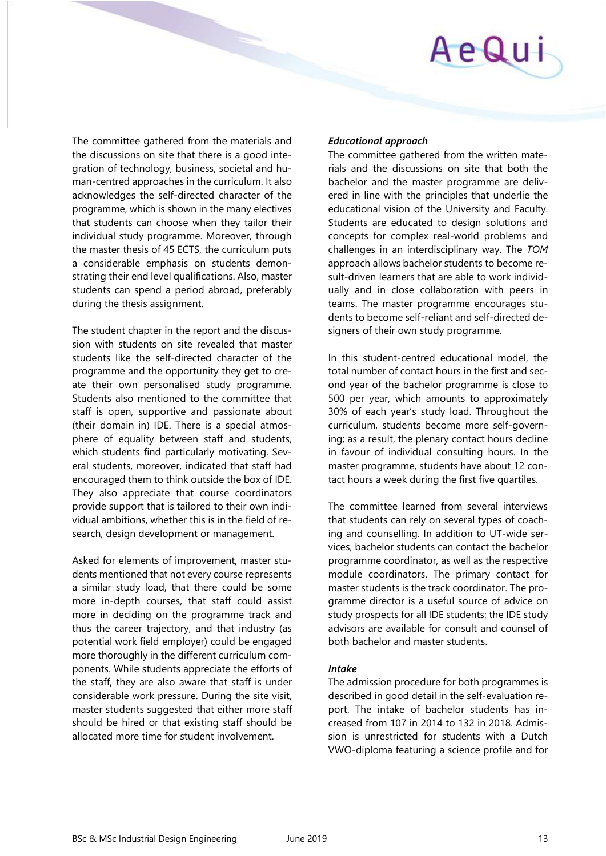# AeQui

The committee gathered from the materials and the discussions on site that there is a good integration of technology, business, societal and human-centred approaches in the curriculum. It also acknowledges the self-directed character of the programme, which is shown in the many electives that students can choose when they tailor their individual study programme. Moreover, through the master thesis of 45 ECTS, the curriculum puts a considerable emphasis on students demonstrating their end level qualifications. Also, master students can spend a period abroad, preferably during the thesis assignment.

The student chapter in the report and the discussion with students on site revealed that master students like the self-directed character of the programme and the opportunity they get to create their own personalised study programme. Students also mentioned to the committee that staff is open, supportive and passionate about (their domain in) IDE. There is a special atmosphere of equality between staff and students, which students find particularly motivating. Several students, moreover, indicated that staff had encouraged them to think outside the box of IDE. They also appreciate that course coordinators provide support that is tailored to their own individual ambitions, whether this is in the field of research, design development or management.

Asked for elements of improvement, master students mentioned that not every course represents a similar study load, that there could be some more in-depth courses, that staff could assist more in deciding on the programme track and thus the career trajectory, and that industry (as potential work field employer) could be engaged more thoroughly in the different curriculum components. While students appreciate the efforts of the staff, they are also aware that staff is under considerable work pressure. During the site visit, master students suggested that either more staff should be hired or that existing staff should be allocated more time for student involvement.

## *Educational approach*

The committee gathered from the written materials and the discussions on site that both the bachelor and the master programme are delivered in line with the principles that underlie the educational vision of the University and Faculty. Students are educated to design solutions and concepts for complex real-world problems and challenges in an interdisciplinary way. The *TOM* approach allows bachelor students to become result-driven learners that are able to work individually and in close collaboration with peers in teams. The master programme encourages students to become self-reliant and self-directed designers of their own study programme.

In this student-centred educational model, the total number of contact hours in the first and second year of the bachelor programme is close to 500 per year, which amounts to approximately 30% of each year's study load. Throughout the curriculum, students become more self-governing; as a result, the plenary contact hours decline in favour of individual consulting hours. In the master programme, students have about 12 contact hours a week during the first five quartiles.

The committee learned from several interviews that students can rely on several types of coaching and counselling. In addition to UT-wide services, bachelor students can contact the bachelor programme coordinator, as well as the respective module coordinators. The primary contact for master students is the track coordinator. The programme director is a useful source of advice on study prospects for all IDE students; the IDE study advisors are available for consult and counsel of both bachelor and master students.

## *Intake*

The admission procedure for both programmes is described in good detail in the self-evaluation report. The intake of bachelor students has increased from 107 in 2014 to 132 in 2018. Admission is unrestricted for students with a Dutch VWO-diploma featuring a science profile and for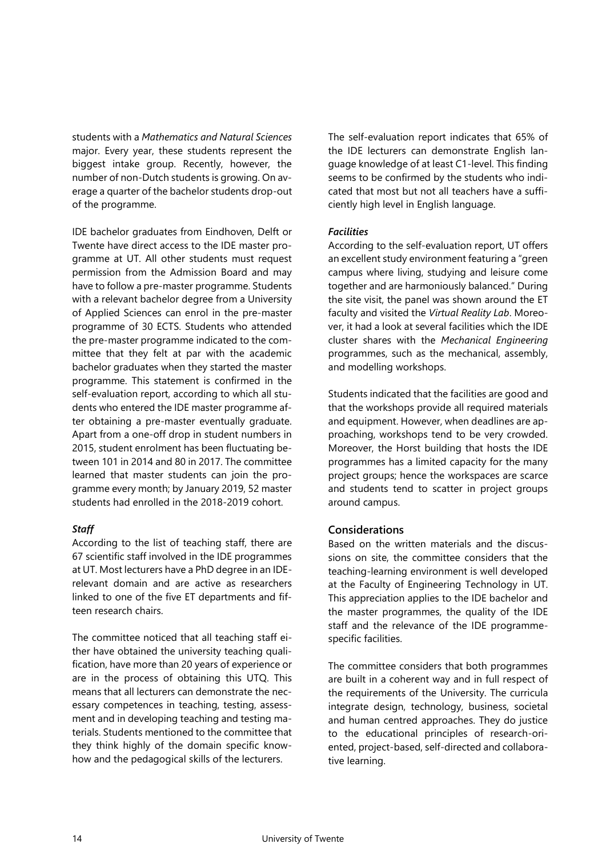students with a *Mathematics and Natural Sciences* major. Every year, these students represent the biggest intake group. Recently, however, the number of non-Dutch students is growing. On average a quarter of the bachelor students drop-out of the programme.

IDE bachelor graduates from Eindhoven, Delft or Twente have direct access to the IDE master programme at UT. All other students must request permission from the Admission Board and may have to follow a pre-master programme. Students with a relevant bachelor degree from a University of Applied Sciences can enrol in the pre-master programme of 30 ECTS. Students who attended the pre-master programme indicated to the committee that they felt at par with the academic bachelor graduates when they started the master programme. This statement is confirmed in the self-evaluation report, according to which all students who entered the IDE master programme after obtaining a pre-master eventually graduate. Apart from a one-off drop in student numbers in 2015, student enrolment has been fluctuating between 101 in 2014 and 80 in 2017. The committee learned that master students can join the programme every month; by January 2019, 52 master students had enrolled in the 2018-2019 cohort.

## *Staff*

According to the list of teaching staff, there are 67 scientific staff involved in the IDE programmes at UT. Most lecturers have a PhD degree in an IDErelevant domain and are active as researchers linked to one of the five ET departments and fifteen research chairs.

The committee noticed that all teaching staff either have obtained the university teaching qualification, have more than 20 years of experience or are in the process of obtaining this UTQ. This means that all lecturers can demonstrate the necessary competences in teaching, testing, assessment and in developing teaching and testing materials. Students mentioned to the committee that they think highly of the domain specific knowhow and the pedagogical skills of the lecturers.

The self-evaluation report indicates that 65% of the IDE lecturers can demonstrate English language knowledge of at least C1-level. This finding seems to be confirmed by the students who indicated that most but not all teachers have a sufficiently high level in English language.

## *Facilities*

According to the self-evaluation report, UT offers an excellent study environment featuring a "green campus where living, studying and leisure come together and are harmoniously balanced." During the site visit, the panel was shown around the ET faculty and visited the *Virtual Reality Lab*. Moreover, it had a look at several facilities which the IDE cluster shares with the *Mechanical Engineering* programmes, such as the mechanical, assembly, and modelling workshops.

Students indicated that the facilities are good and that the workshops provide all required materials and equipment. However, when deadlines are approaching, workshops tend to be very crowded. Moreover, the Horst building that hosts the IDE programmes has a limited capacity for the many project groups; hence the workspaces are scarce and students tend to scatter in project groups around campus.

## **Considerations**

Based on the written materials and the discussions on site, the committee considers that the teaching-learning environment is well developed at the Faculty of Engineering Technology in UT. This appreciation applies to the IDE bachelor and the master programmes, the quality of the IDE staff and the relevance of the IDE programmespecific facilities.

The committee considers that both programmes are built in a coherent way and in full respect of the requirements of the University. The curricula integrate design, technology, business, societal and human centred approaches. They do justice to the educational principles of research-oriented, project-based, self-directed and collaborative learning.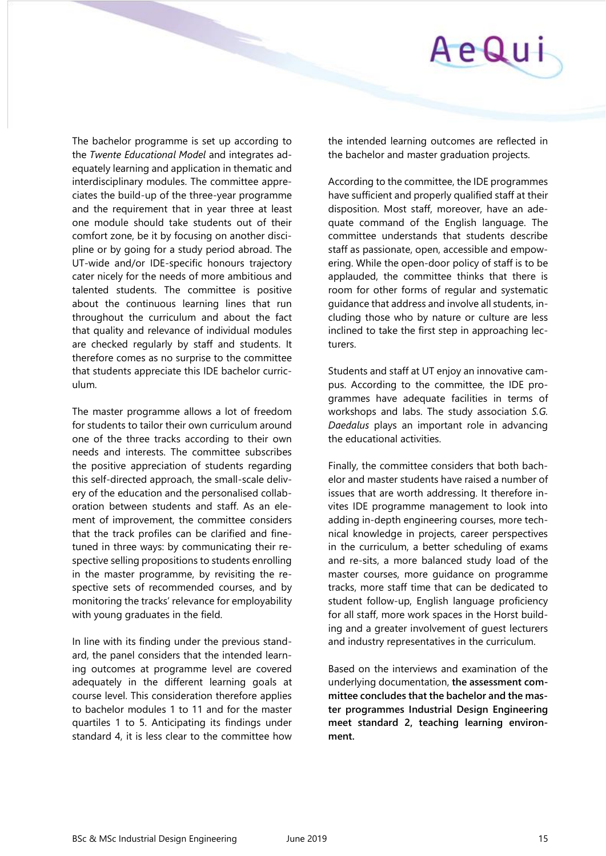

The bachelor programme is set up according to the *Twente Educational Model* and integrates adequately learning and application in thematic and interdisciplinary modules. The committee appreciates the build-up of the three-year programme and the requirement that in year three at least one module should take students out of their comfort zone, be it by focusing on another discipline or by going for a study period abroad. The UT-wide and/or IDE-specific honours trajectory cater nicely for the needs of more ambitious and talented students. The committee is positive about the continuous learning lines that run throughout the curriculum and about the fact that quality and relevance of individual modules are checked regularly by staff and students. It therefore comes as no surprise to the committee that students appreciate this IDE bachelor curriculum.

The master programme allows a lot of freedom for students to tailor their own curriculum around one of the three tracks according to their own needs and interests. The committee subscribes the positive appreciation of students regarding this self-directed approach, the small-scale delivery of the education and the personalised collaboration between students and staff. As an element of improvement, the committee considers that the track profiles can be clarified and finetuned in three ways: by communicating their respective selling propositions to students enrolling in the master programme, by revisiting the respective sets of recommended courses, and by monitoring the tracks' relevance for employability with young graduates in the field.

In line with its finding under the previous standard, the panel considers that the intended learning outcomes at programme level are covered adequately in the different learning goals at course level. This consideration therefore applies to bachelor modules 1 to 11 and for the master quartiles 1 to 5. Anticipating its findings under standard 4, it is less clear to the committee how

the intended learning outcomes are reflected in the bachelor and master graduation projects.

According to the committee, the IDE programmes have sufficient and properly qualified staff at their disposition. Most staff, moreover, have an adequate command of the English language. The committee understands that students describe staff as passionate, open, accessible and empowering. While the open-door policy of staff is to be applauded, the committee thinks that there is room for other forms of regular and systematic guidance that address and involve all students, including those who by nature or culture are less inclined to take the first step in approaching lecturers.

Students and staff at UT enjoy an innovative campus. According to the committee, the IDE programmes have adequate facilities in terms of workshops and labs. The study association *S.G. Daedalus* plays an important role in advancing the educational activities.

Finally, the committee considers that both bachelor and master students have raised a number of issues that are worth addressing. It therefore invites IDE programme management to look into adding in-depth engineering courses, more technical knowledge in projects, career perspectives in the curriculum, a better scheduling of exams and re-sits, a more balanced study load of the master courses, more guidance on programme tracks, more staff time that can be dedicated to student follow-up, English language proficiency for all staff, more work spaces in the Horst building and a greater involvement of guest lecturers and industry representatives in the curriculum.

Based on the interviews and examination of the underlying documentation, **the assessment committee concludes that the bachelor and the master programmes Industrial Design Engineering meet standard 2, teaching learning environment.**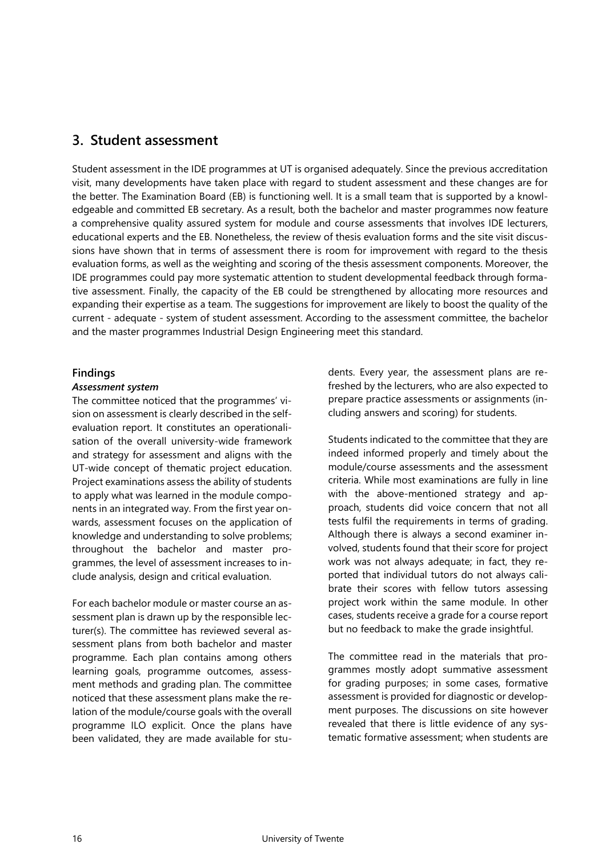## <span id="page-15-0"></span>**3. Student assessment**

Student assessment in the IDE programmes at UT is organised adequately. Since the previous accreditation visit, many developments have taken place with regard to student assessment and these changes are for the better. The Examination Board (EB) is functioning well. It is a small team that is supported by a knowledgeable and committed EB secretary. As a result, both the bachelor and master programmes now feature a comprehensive quality assured system for module and course assessments that involves IDE lecturers, educational experts and the EB. Nonetheless, the review of thesis evaluation forms and the site visit discussions have shown that in terms of assessment there is room for improvement with regard to the thesis evaluation forms, as well as the weighting and scoring of the thesis assessment components. Moreover, the IDE programmes could pay more systematic attention to student developmental feedback through formative assessment. Finally, the capacity of the EB could be strengthened by allocating more resources and expanding their expertise as a team. The suggestions for improvement are likely to boost the quality of the current - adequate - system of student assessment. According to the assessment committee, the bachelor and the master programmes Industrial Design Engineering meet this standard.

## **Findings**

### *Assessment system*

The committee noticed that the programmes' vision on assessment is clearly described in the selfevaluation report. It constitutes an operationalisation of the overall university-wide framework and strategy for assessment and aligns with the UT-wide concept of thematic project education. Project examinations assess the ability of students to apply what was learned in the module components in an integrated way. From the first year onwards, assessment focuses on the application of knowledge and understanding to solve problems; throughout the bachelor and master programmes, the level of assessment increases to include analysis, design and critical evaluation.

For each bachelor module or master course an assessment plan is drawn up by the responsible lecturer(s). The committee has reviewed several assessment plans from both bachelor and master programme. Each plan contains among others learning goals, programme outcomes, assessment methods and grading plan. The committee noticed that these assessment plans make the relation of the module/course goals with the overall programme ILO explicit. Once the plans have been validated, they are made available for students. Every year, the assessment plans are refreshed by the lecturers, who are also expected to prepare practice assessments or assignments (including answers and scoring) for students.

Students indicated to the committee that they are indeed informed properly and timely about the module/course assessments and the assessment criteria. While most examinations are fully in line with the above-mentioned strategy and approach, students did voice concern that not all tests fulfil the requirements in terms of grading. Although there is always a second examiner involved, students found that their score for project work was not always adequate; in fact, they reported that individual tutors do not always calibrate their scores with fellow tutors assessing project work within the same module. In other cases, students receive a grade for a course report but no feedback to make the grade insightful.

The committee read in the materials that programmes mostly adopt summative assessment for grading purposes; in some cases, formative assessment is provided for diagnostic or development purposes. The discussions on site however revealed that there is little evidence of any systematic formative assessment; when students are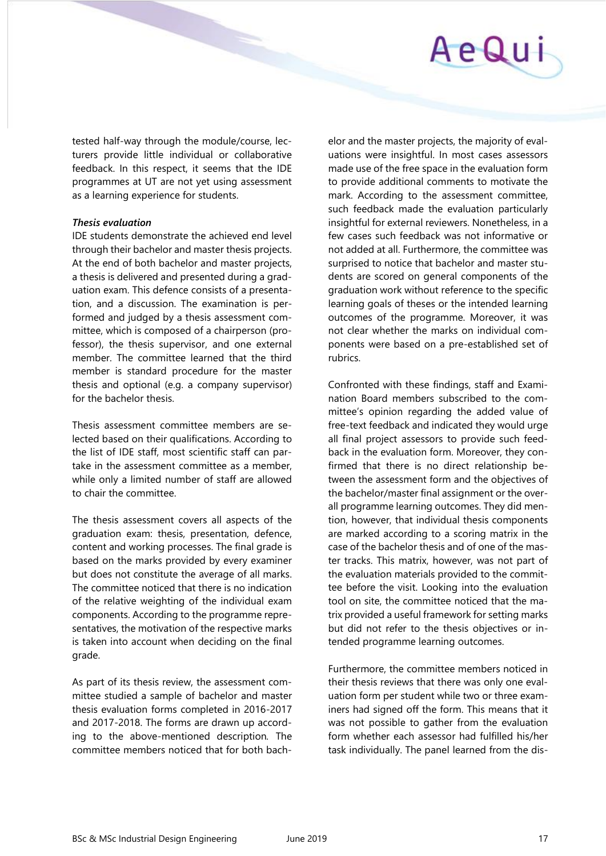## AeQui

tested half-way through the module/course, lecturers provide little individual or collaborative feedback. In this respect, it seems that the IDE programmes at UT are not yet using assessment as a learning experience for students.

## *Thesis evaluation*

IDE students demonstrate the achieved end level through their bachelor and master thesis projects. At the end of both bachelor and master projects, a thesis is delivered and presented during a graduation exam. This defence consists of a presentation, and a discussion. The examination is performed and judged by a thesis assessment committee, which is composed of a chairperson (professor), the thesis supervisor, and one external member. The committee learned that the third member is standard procedure for the master thesis and optional (e.g. a company supervisor) for the bachelor thesis.

Thesis assessment committee members are selected based on their qualifications. According to the list of IDE staff, most scientific staff can partake in the assessment committee as a member, while only a limited number of staff are allowed to chair the committee.

The thesis assessment covers all aspects of the graduation exam: thesis, presentation, defence, content and working processes. The final grade is based on the marks provided by every examiner but does not constitute the average of all marks. The committee noticed that there is no indication of the relative weighting of the individual exam components. According to the programme representatives, the motivation of the respective marks is taken into account when deciding on the final grade.

As part of its thesis review, the assessment committee studied a sample of bachelor and master thesis evaluation forms completed in 2016-2017 and 2017-2018. The forms are drawn up according to the above-mentioned description*.* The committee members noticed that for both bachelor and the master projects, the majority of evaluations were insightful. In most cases assessors made use of the free space in the evaluation form to provide additional comments to motivate the mark. According to the assessment committee, such feedback made the evaluation particularly insightful for external reviewers. Nonetheless, in a few cases such feedback was not informative or not added at all. Furthermore, the committee was surprised to notice that bachelor and master students are scored on general components of the graduation work without reference to the specific learning goals of theses or the intended learning outcomes of the programme. Moreover, it was not clear whether the marks on individual components were based on a pre-established set of rubrics.

Confronted with these findings, staff and Examination Board members subscribed to the committee's opinion regarding the added value of free-text feedback and indicated they would urge all final project assessors to provide such feedback in the evaluation form. Moreover, they confirmed that there is no direct relationship between the assessment form and the objectives of the bachelor/master final assignment or the overall programme learning outcomes. They did mention, however, that individual thesis components are marked according to a scoring matrix in the case of the bachelor thesis and of one of the master tracks. This matrix, however, was not part of the evaluation materials provided to the committee before the visit. Looking into the evaluation tool on site, the committee noticed that the matrix provided a useful framework for setting marks but did not refer to the thesis objectives or intended programme learning outcomes.

Furthermore, the committee members noticed in their thesis reviews that there was only one evaluation form per student while two or three examiners had signed off the form. This means that it was not possible to gather from the evaluation form whether each assessor had fulfilled his/her task individually. The panel learned from the dis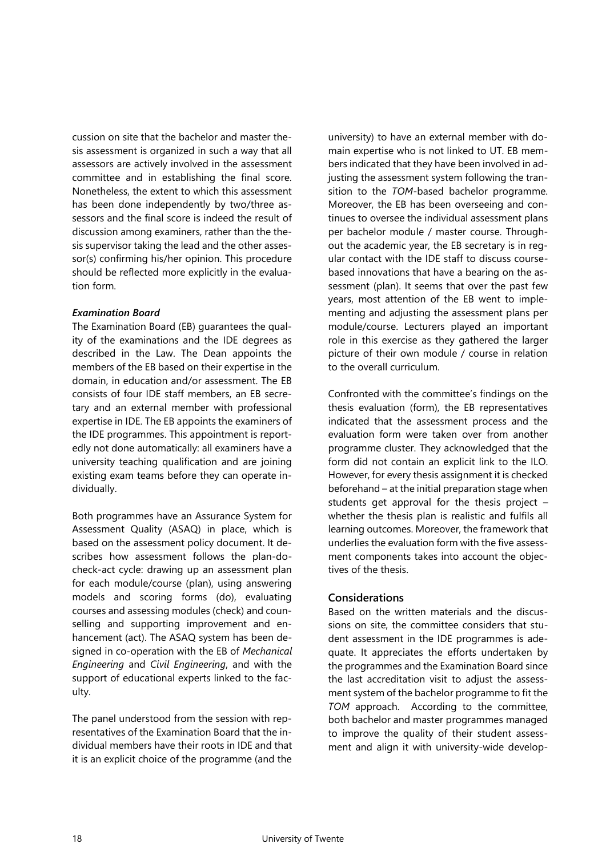cussion on site that the bachelor and master thesis assessment is organized in such a way that all assessors are actively involved in the assessment committee and in establishing the final score. Nonetheless, the extent to which this assessment has been done independently by two/three assessors and the final score is indeed the result of discussion among examiners, rather than the thesis supervisor taking the lead and the other assessor(s) confirming his/her opinion. This procedure should be reflected more explicitly in the evaluation form.

## *Examination Board*

The Examination Board (EB) guarantees the quality of the examinations and the IDE degrees as described in the Law. The Dean appoints the members of the EB based on their expertise in the domain, in education and/or assessment. The EB consists of four IDE staff members, an EB secretary and an external member with professional expertise in IDE. The EB appoints the examiners of the IDE programmes. This appointment is reportedly not done automatically: all examiners have a university teaching qualification and are joining existing exam teams before they can operate individually.

Both programmes have an Assurance System for Assessment Quality (ASAQ) in place, which is based on the assessment policy document. It describes how assessment follows the plan-docheck-act cycle: drawing up an assessment plan for each module/course (plan), using answering models and scoring forms (do), evaluating courses and assessing modules (check) and counselling and supporting improvement and enhancement (act). The ASAQ system has been designed in co-operation with the EB of *Mechanical Engineering* and *Civil Engineering*, and with the support of educational experts linked to the faculty.

The panel understood from the session with representatives of the Examination Board that the individual members have their roots in IDE and that it is an explicit choice of the programme (and the

university) to have an external member with domain expertise who is not linked to UT. EB members indicated that they have been involved in adjusting the assessment system following the transition to the *TOM*-based bachelor programme. Moreover, the EB has been overseeing and continues to oversee the individual assessment plans per bachelor module / master course. Throughout the academic year, the EB secretary is in regular contact with the IDE staff to discuss coursebased innovations that have a bearing on the assessment (plan). It seems that over the past few years, most attention of the EB went to implementing and adjusting the assessment plans per module/course. Lecturers played an important role in this exercise as they gathered the larger picture of their own module / course in relation to the overall curriculum.

Confronted with the committee's findings on the thesis evaluation (form), the EB representatives indicated that the assessment process and the evaluation form were taken over from another programme cluster. They acknowledged that the form did not contain an explicit link to the ILO. However, for every thesis assignment it is checked beforehand – at the initial preparation stage when students get approval for the thesis project – whether the thesis plan is realistic and fulfils all learning outcomes. Moreover, the framework that underlies the evaluation form with the five assessment components takes into account the objectives of the thesis.

## **Considerations**

Based on the written materials and the discussions on site, the committee considers that student assessment in the IDE programmes is adequate. It appreciates the efforts undertaken by the programmes and the Examination Board since the last accreditation visit to adjust the assessment system of the bachelor programme to fit the *TOM* approach. According to the committee, both bachelor and master programmes managed to improve the quality of their student assessment and align it with university-wide develop-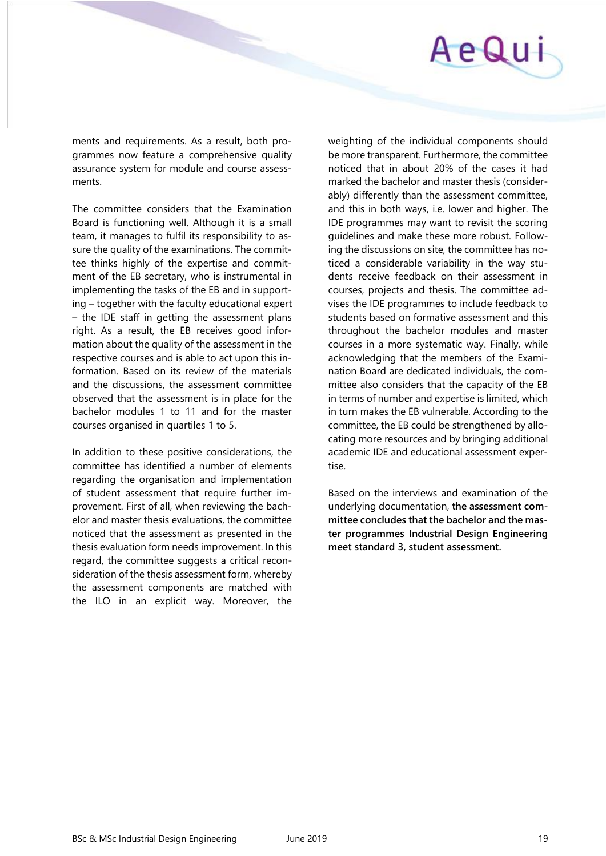## AeQui

ments and requirements. As a result, both programmes now feature a comprehensive quality assurance system for module and course assessments.

The committee considers that the Examination Board is functioning well. Although it is a small team, it manages to fulfil its responsibility to assure the quality of the examinations. The committee thinks highly of the expertise and commitment of the EB secretary, who is instrumental in implementing the tasks of the EB and in supporting – together with the faculty educational expert – the IDE staff in getting the assessment plans right. As a result, the EB receives good information about the quality of the assessment in the respective courses and is able to act upon this information. Based on its review of the materials and the discussions, the assessment committee observed that the assessment is in place for the bachelor modules 1 to 11 and for the master courses organised in quartiles 1 to 5.

In addition to these positive considerations, the committee has identified a number of elements regarding the organisation and implementation of student assessment that require further improvement. First of all, when reviewing the bachelor and master thesis evaluations, the committee noticed that the assessment as presented in the thesis evaluation form needs improvement. In this regard, the committee suggests a critical reconsideration of the thesis assessment form, whereby the assessment components are matched with the ILO in an explicit way. Moreover, the

weighting of the individual components should be more transparent. Furthermore, the committee noticed that in about 20% of the cases it had marked the bachelor and master thesis (considerably) differently than the assessment committee, and this in both ways, i.e. lower and higher. The IDE programmes may want to revisit the scoring guidelines and make these more robust. Following the discussions on site, the committee has noticed a considerable variability in the way students receive feedback on their assessment in courses, projects and thesis. The committee advises the IDE programmes to include feedback to students based on formative assessment and this throughout the bachelor modules and master courses in a more systematic way. Finally, while acknowledging that the members of the Examination Board are dedicated individuals, the committee also considers that the capacity of the EB in terms of number and expertise is limited, which in turn makes the EB vulnerable. According to the committee, the EB could be strengthened by allocating more resources and by bringing additional academic IDE and educational assessment expertise.

Based on the interviews and examination of the underlying documentation, **the assessment committee concludes that the bachelor and the master programmes Industrial Design Engineering meet standard 3, student assessment.**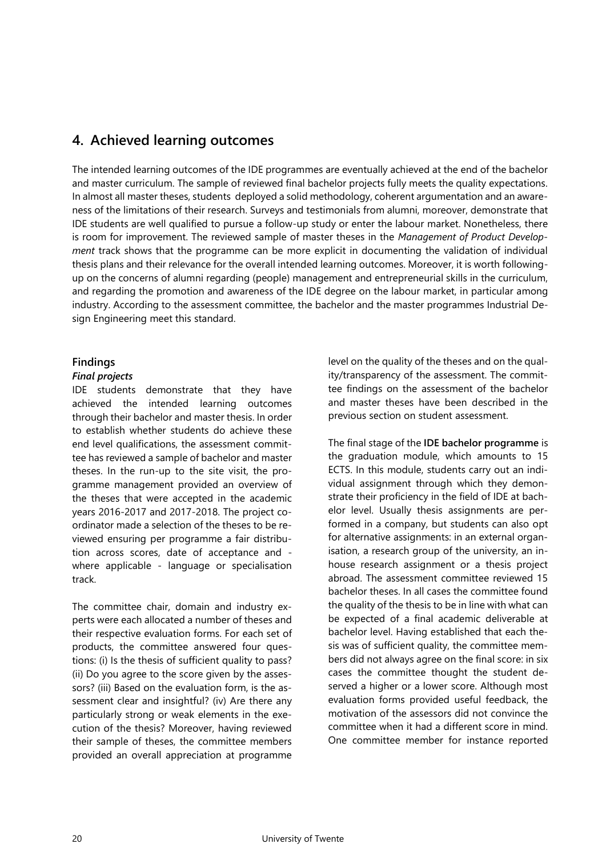## <span id="page-19-0"></span>**4. Achieved learning outcomes**

The intended learning outcomes of the IDE programmes are eventually achieved at the end of the bachelor and master curriculum. The sample of reviewed final bachelor projects fully meets the quality expectations. In almost all master theses, students deployed a solid methodology, coherent argumentation and an awareness of the limitations of their research. Surveys and testimonials from alumni, moreover, demonstrate that IDE students are well qualified to pursue a follow-up study or enter the labour market. Nonetheless, there is room for improvement. The reviewed sample of master theses in the *Management of Product Development* track shows that the programme can be more explicit in documenting the validation of individual thesis plans and their relevance for the overall intended learning outcomes. Moreover, it is worth followingup on the concerns of alumni regarding (people) management and entrepreneurial skills in the curriculum, and regarding the promotion and awareness of the IDE degree on the labour market, in particular among industry. According to the assessment committee, the bachelor and the master programmes Industrial Design Engineering meet this standard.

## **Findings**

## *Final projects*

IDE students demonstrate that they have achieved the intended learning outcomes through their bachelor and master thesis. In order to establish whether students do achieve these end level qualifications, the assessment committee has reviewed a sample of bachelor and master theses. In the run-up to the site visit, the programme management provided an overview of the theses that were accepted in the academic years 2016-2017 and 2017-2018. The project coordinator made a selection of the theses to be reviewed ensuring per programme a fair distribution across scores, date of acceptance and where applicable - language or specialisation track.

The committee chair, domain and industry experts were each allocated a number of theses and their respective evaluation forms. For each set of products, the committee answered four questions: (i) Is the thesis of sufficient quality to pass? (ii) Do you agree to the score given by the assessors? (iii) Based on the evaluation form, is the assessment clear and insightful? (iv) Are there any particularly strong or weak elements in the execution of the thesis? Moreover, having reviewed their sample of theses, the committee members provided an overall appreciation at programme

level on the quality of the theses and on the quality/transparency of the assessment. The committee findings on the assessment of the bachelor and master theses have been described in the previous section on student assessment.

The final stage of the **IDE bachelor programme** is the graduation module, which amounts to 15 ECTS. In this module, students carry out an individual assignment through which they demonstrate their proficiency in the field of IDE at bachelor level. Usually thesis assignments are performed in a company, but students can also opt for alternative assignments: in an external organisation, a research group of the university, an inhouse research assignment or a thesis project abroad. The assessment committee reviewed 15 bachelor theses. In all cases the committee found the quality of the thesis to be in line with what can be expected of a final academic deliverable at bachelor level. Having established that each thesis was of sufficient quality, the committee members did not always agree on the final score: in six cases the committee thought the student deserved a higher or a lower score. Although most evaluation forms provided useful feedback, the motivation of the assessors did not convince the committee when it had a different score in mind. One committee member for instance reported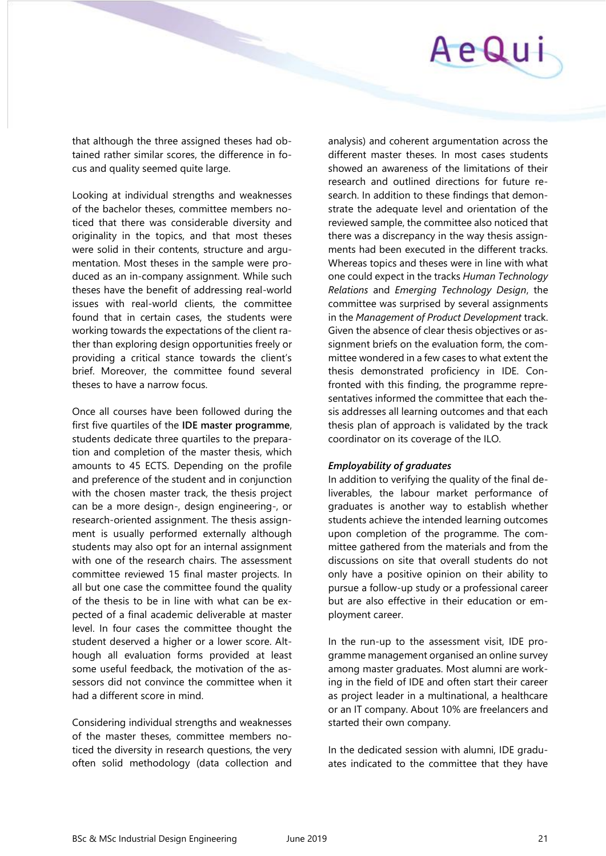# AeQui

that although the three assigned theses had obtained rather similar scores, the difference in focus and quality seemed quite large.

Looking at individual strengths and weaknesses of the bachelor theses, committee members noticed that there was considerable diversity and originality in the topics, and that most theses were solid in their contents, structure and argumentation. Most theses in the sample were produced as an in-company assignment. While such theses have the benefit of addressing real-world issues with real-world clients, the committee found that in certain cases, the students were working towards the expectations of the client rather than exploring design opportunities freely or providing a critical stance towards the client's brief. Moreover, the committee found several theses to have a narrow focus.

Once all courses have been followed during the first five quartiles of the **IDE master programme**, students dedicate three quartiles to the preparation and completion of the master thesis, which amounts to 45 ECTS. Depending on the profile and preference of the student and in conjunction with the chosen master track, the thesis project can be a more design-, design engineering-, or research-oriented assignment. The thesis assignment is usually performed externally although students may also opt for an internal assignment with one of the research chairs. The assessment committee reviewed 15 final master projects. In all but one case the committee found the quality of the thesis to be in line with what can be expected of a final academic deliverable at master level. In four cases the committee thought the student deserved a higher or a lower score. Although all evaluation forms provided at least some useful feedback, the motivation of the assessors did not convince the committee when it had a different score in mind.

Considering individual strengths and weaknesses of the master theses, committee members noticed the diversity in research questions, the very often solid methodology (data collection and analysis) and coherent argumentation across the different master theses. In most cases students showed an awareness of the limitations of their research and outlined directions for future research. In addition to these findings that demonstrate the adequate level and orientation of the reviewed sample, the committee also noticed that there was a discrepancy in the way thesis assignments had been executed in the different tracks. Whereas topics and theses were in line with what one could expect in the tracks *Human Technology Relations* and *Emerging Technology Design*, the committee was surprised by several assignments in the *Management of Product Development* track. Given the absence of clear thesis objectives or assignment briefs on the evaluation form, the committee wondered in a few cases to what extent the thesis demonstrated proficiency in IDE. Confronted with this finding, the programme representatives informed the committee that each thesis addresses all learning outcomes and that each thesis plan of approach is validated by the track coordinator on its coverage of the ILO.

## *Employability of graduates*

In addition to verifying the quality of the final deliverables, the labour market performance of graduates is another way to establish whether students achieve the intended learning outcomes upon completion of the programme. The committee gathered from the materials and from the discussions on site that overall students do not only have a positive opinion on their ability to pursue a follow-up study or a professional career but are also effective in their education or employment career.

In the run-up to the assessment visit, IDE programme management organised an online survey among master graduates. Most alumni are working in the field of IDE and often start their career as project leader in a multinational, a healthcare or an IT company. About 10% are freelancers and started their own company.

In the dedicated session with alumni, IDE graduates indicated to the committee that they have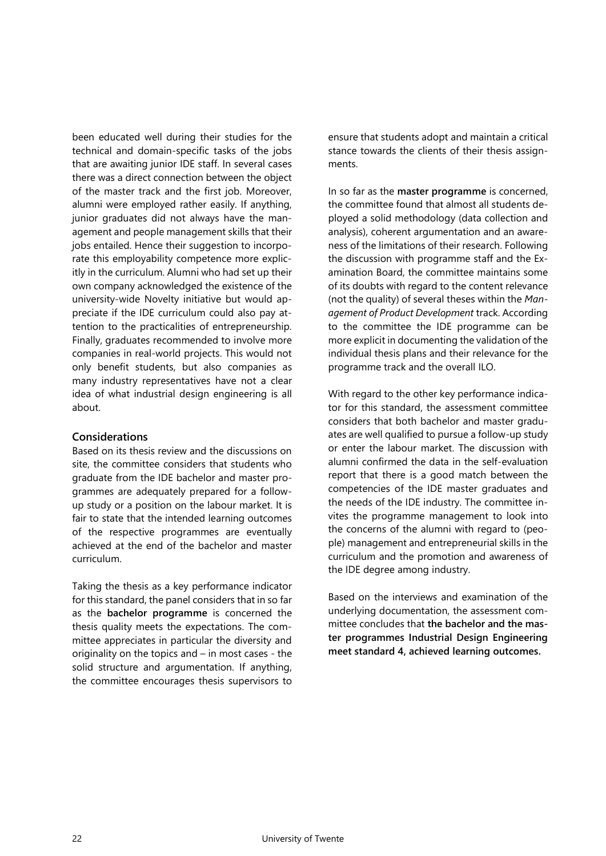been educated well during their studies for the technical and domain-specific tasks of the jobs that are awaiting junior IDE staff. In several cases there was a direct connection between the object of the master track and the first job. Moreover, alumni were employed rather easily. If anything, junior graduates did not always have the management and people management skills that their jobs entailed. Hence their suggestion to incorporate this employability competence more explicitly in the curriculum. Alumni who had set up their own company acknowledged the existence of the university-wide Novelty initiative but would appreciate if the IDE curriculum could also pay attention to the practicalities of entrepreneurship. Finally, graduates recommended to involve more companies in real-world projects. This would not only benefit students, but also companies as many industry representatives have not a clear idea of what industrial design engineering is all about.

## **Considerations**

Based on its thesis review and the discussions on site, the committee considers that students who graduate from the IDE bachelor and master programmes are adequately prepared for a followup study or a position on the labour market. It is fair to state that the intended learning outcomes of the respective programmes are eventually achieved at the end of the bachelor and master curriculum.

Taking the thesis as a key performance indicator for this standard, the panel considers that in so far as the **bachelor programme** is concerned the thesis quality meets the expectations. The committee appreciates in particular the diversity and originality on the topics and – in most cases - the solid structure and argumentation. If anything, the committee encourages thesis supervisors to ensure that students adopt and maintain a critical stance towards the clients of their thesis assignments.

In so far as the **master programme** is concerned, the committee found that almost all students deployed a solid methodology (data collection and analysis), coherent argumentation and an awareness of the limitations of their research. Following the discussion with programme staff and the Examination Board, the committee maintains some of its doubts with regard to the content relevance (not the quality) of several theses within the *Management of Product Development* track. According to the committee the IDE programme can be more explicit in documenting the validation of the individual thesis plans and their relevance for the programme track and the overall ILO.

With regard to the other key performance indicator for this standard, the assessment committee considers that both bachelor and master graduates are well qualified to pursue a follow-up study or enter the labour market. The discussion with alumni confirmed the data in the self-evaluation report that there is a good match between the competencies of the IDE master graduates and the needs of the IDE industry. The committee invites the programme management to look into the concerns of the alumni with regard to (people) management and entrepreneurial skills in the curriculum and the promotion and awareness of the IDE degree among industry.

Based on the interviews and examination of the underlying documentation, the assessment committee concludes that **the bachelor and the master programmes Industrial Design Engineering meet standard 4, achieved learning outcomes.**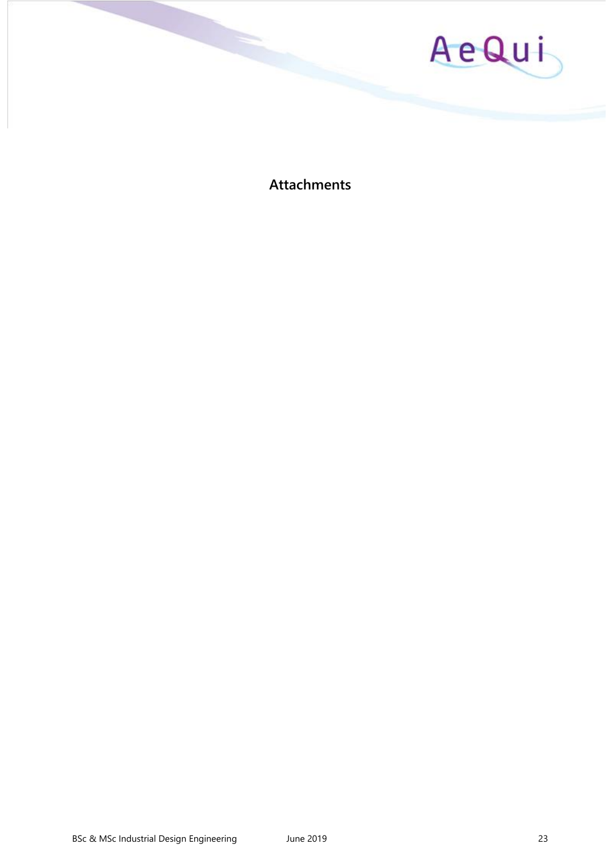

<span id="page-22-0"></span>**Attachments**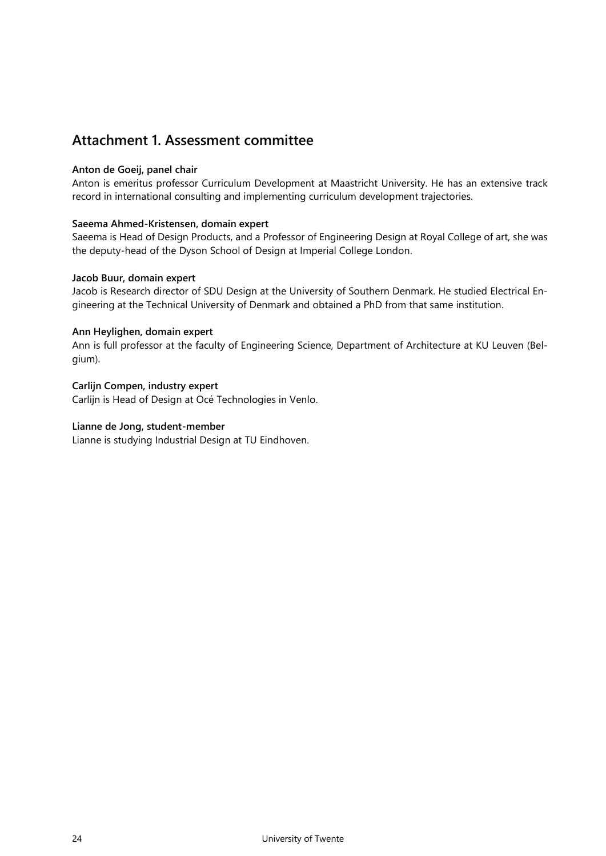## <span id="page-23-0"></span>**Attachment 1. Assessment committee**

## **Anton de Goeij, panel chair**

Anton is emeritus professor Curriculum Development at Maastricht University. He has an extensive track record in international consulting and implementing curriculum development trajectories.

## **Saeema Ahmed-Kristensen, domain expert**

Saeema is Head of Design Products, and a Professor of Engineering Design at Royal College of art, she was the deputy-head of the Dyson School of Design at Imperial College London.

## **Jacob Buur, domain expert**

Jacob is Research director of SDU Design at the University of Southern Denmark. He studied Electrical Engineering at the Technical University of Denmark and obtained a PhD from that same institution.

## **Ann Heylighen, domain expert**

Ann is full professor at the faculty of Engineering Science, Department of Architecture at KU Leuven (Belgium).

## **Carlijn Compen, industry expert**

Carlijn is Head of Design at Océ Technologies in Venlo.

## **Lianne de Jong, student-member**

Lianne is studying Industrial Design at TU Eindhoven.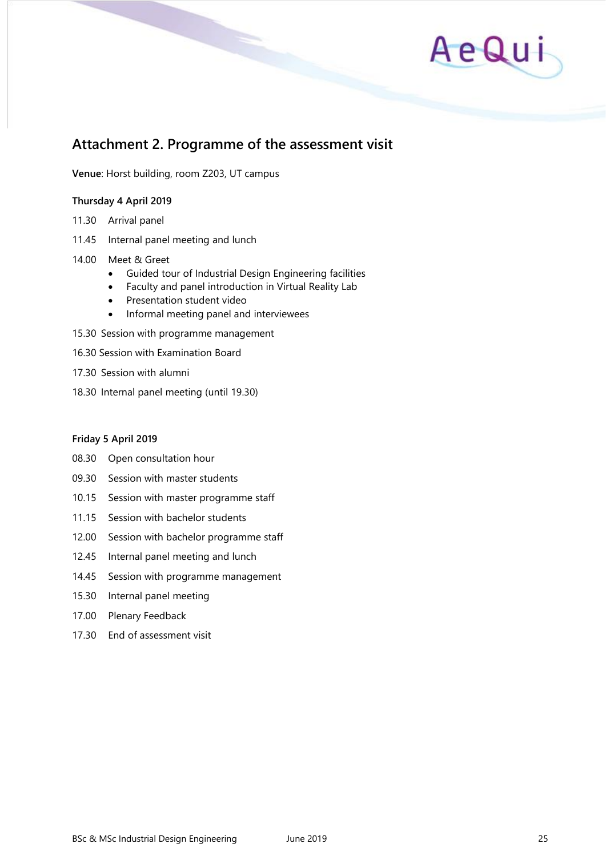

## **Attachment 2. Programme of the assessment visit**

**Venue**: Horst building, room Z203, UT campus

## **Thursday 4 April 2019**

- 11.30 Arrival panel
- 11.45 Internal panel meeting and lunch
- 14.00 Meet & Greet
	- Guided tour of Industrial Design Engineering facilities
	- Faculty and panel introduction in Virtual Reality Lab
	- Presentation student video
	- Informal meeting panel and interviewees
- 15.30 Session with programme management
- 16.30 Session with Examination Board
- 17.30 Session with alumni
- 18.30 Internal panel meeting (until 19.30)

#### **Friday 5 April 2019**

- 08.30 Open consultation hour
- 09.30 Session with master students
- 10.15 Session with master programme staff
- 11.15 Session with bachelor students
- 12.00 Session with bachelor programme staff
- 12.45 Internal panel meeting and lunch
- 14.45 Session with programme management
- 15.30 Internal panel meeting
- 17.00 Plenary Feedback
- 17.30 End of assessment visit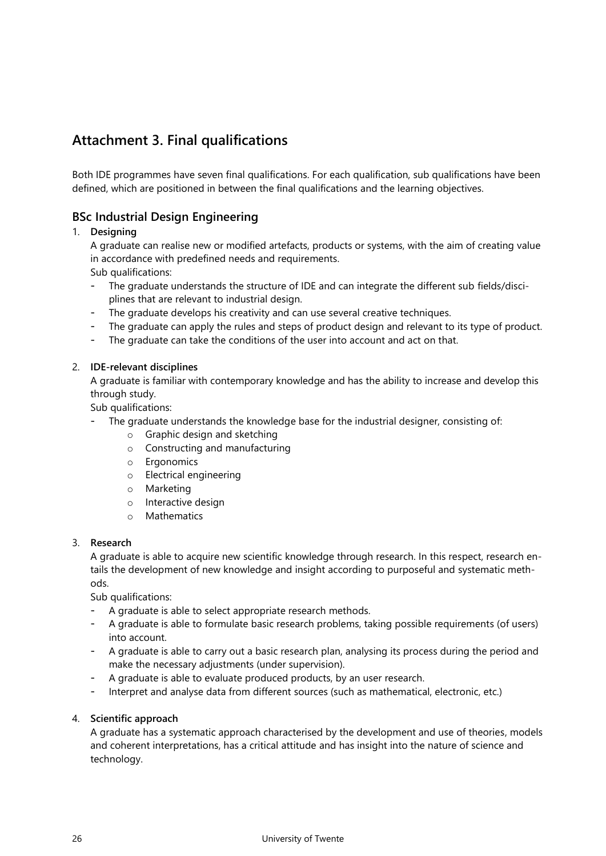## <span id="page-25-0"></span>**Attachment 3. Final qualifications**

Both IDE programmes have seven final qualifications. For each qualification, sub qualifications have been defined, which are positioned in between the final qualifications and the learning objectives.

## **BSc Industrial Design Engineering**

## 1. **Designing**

A graduate can realise new or modified artefacts, products or systems, with the aim of creating value in accordance with predefined needs and requirements.

Sub qualifications:

- The graduate understands the structure of IDE and can integrate the different sub fields/disciplines that are relevant to industrial design.
- The graduate develops his creativity and can use several creative techniques.
- The graduate can apply the rules and steps of product design and relevant to its type of product.
- The graduate can take the conditions of the user into account and act on that.

## 2. **IDE-relevant disciplines**

A graduate is familiar with contemporary knowledge and has the ability to increase and develop this through study.

Sub qualifications:

- The graduate understands the knowledge base for the industrial designer, consisting of:
	- o Graphic design and sketching
	- o Constructing and manufacturing
	- o Ergonomics
	- o Electrical engineering
	- o Marketing
	- o Interactive design
	- o Mathematics

## 3. **Research**

A graduate is able to acquire new scientific knowledge through research. In this respect, research entails the development of new knowledge and insight according to purposeful and systematic methods.

Sub qualifications:

- A graduate is able to select appropriate research methods.
- A graduate is able to formulate basic research problems, taking possible requirements (of users) into account.
- A graduate is able to carry out a basic research plan, analysing its process during the period and make the necessary adjustments (under supervision).
- A graduate is able to evaluate produced products, by an user research.
- Interpret and analyse data from different sources (such as mathematical, electronic, etc.)

## 4. **Scientific approach**

A graduate has a systematic approach characterised by the development and use of theories, models and coherent interpretations, has a critical attitude and has insight into the nature of science and technology.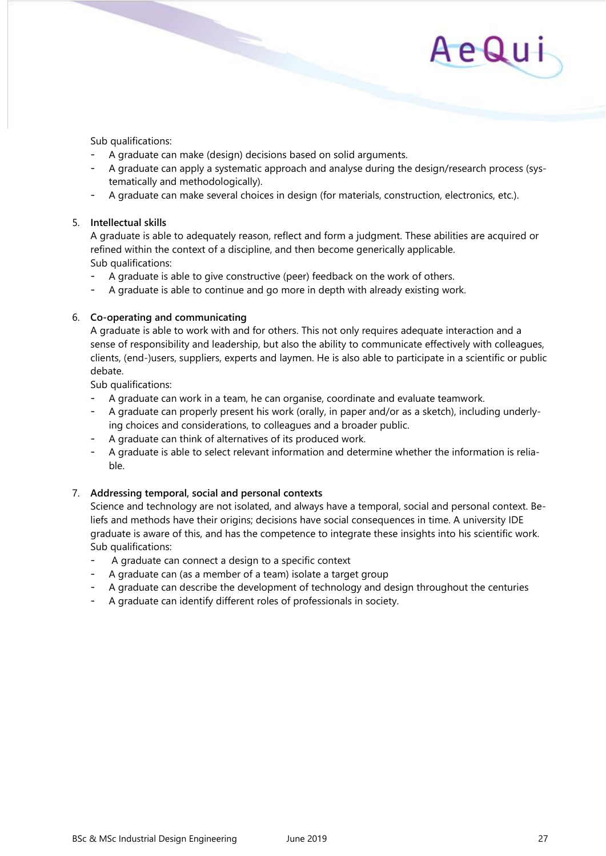Sub qualifications:

- A graduate can make (design) decisions based on solid arguments.
- A graduate can apply a systematic approach and analyse during the design/research process (systematically and methodologically).
- A graduate can make several choices in design (for materials, construction, electronics, etc.).

## 5. **Intellectual skills**

A graduate is able to adequately reason, reflect and form a judgment. These abilities are acquired or refined within the context of a discipline, and then become generically applicable. Sub qualifications:

- A graduate is able to give constructive (peer) feedback on the work of others.
- A graduate is able to continue and go more in depth with already existing work.

## 6. **Co-operating and communicating**

A graduate is able to work with and for others. This not only requires adequate interaction and a sense of responsibility and leadership, but also the ability to communicate effectively with colleagues, clients, (end-)users, suppliers, experts and laymen. He is also able to participate in a scientific or public debate.

Sub qualifications:

- A graduate can work in a team, he can organise, coordinate and evaluate teamwork.
- A graduate can properly present his work (orally, in paper and/or as a sketch), including underlying choices and considerations, to colleagues and a broader public.
- A graduate can think of alternatives of its produced work.
- A graduate is able to select relevant information and determine whether the information is reliable.

## 7. **Addressing temporal, social and personal contexts**

Science and technology are not isolated, and always have a temporal, social and personal context. Beliefs and methods have their origins; decisions have social consequences in time. A university IDE graduate is aware of this, and has the competence to integrate these insights into his scientific work. Sub qualifications:

- A graduate can connect a design to a specific context
- A graduate can (as a member of a team) isolate a target group
- A graduate can describe the development of technology and design throughout the centuries
- A graduate can identify different roles of professionals in society.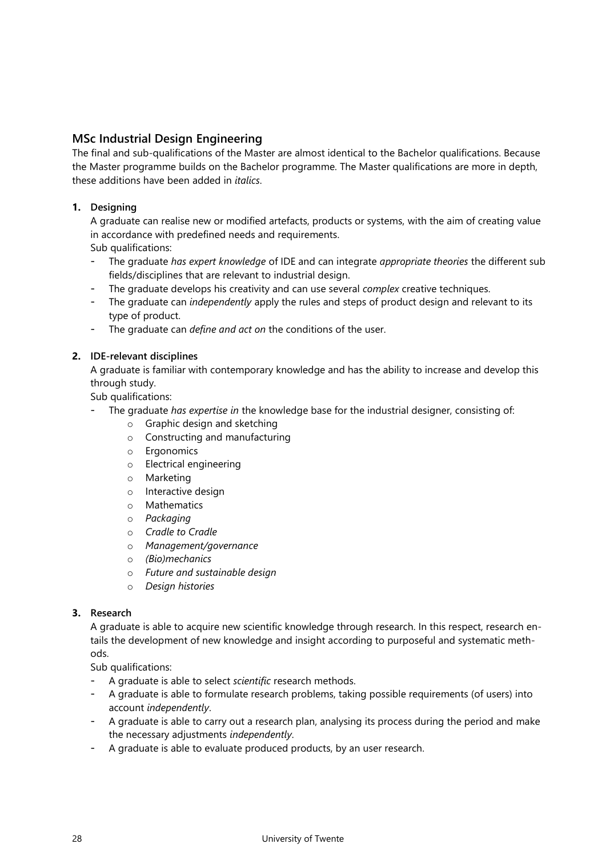## **MSc Industrial Design Engineering**

The final and sub-qualifications of the Master are almost identical to the Bachelor qualifications. Because the Master programme builds on the Bachelor programme. The Master qualifications are more in depth, these additions have been added in *italics*.

## **1. Designing**

A graduate can realise new or modified artefacts, products or systems, with the aim of creating value in accordance with predefined needs and requirements.

Sub qualifications:

- The graduate *has expert knowledge* of IDE and can integrate *appropriate theories* the different sub fields/disciplines that are relevant to industrial design.
- The graduate develops his creativity and can use several *complex* creative techniques.
- The graduate can *independently* apply the rules and steps of product design and relevant to its type of product.
- The graduate can *define and act on* the conditions of the user.

## **2. IDE-relevant disciplines**

A graduate is familiar with contemporary knowledge and has the ability to increase and develop this through study.

Sub qualifications:

- The graduate *has expertise in* the knowledge base for the industrial designer, consisting of:
	- o Graphic design and sketching
	- o Constructing and manufacturing
	- o Ergonomics
	- o Electrical engineering
	- o Marketing
	- o Interactive design
	- o Mathematics
	- o *Packaging*
	- o *Cradle to Cradle*
	- o *Management/governance*
	- o *(Bio)mechanics*
	- o *Future and sustainable design*
	- o *Design histories*

## **3. Research**

A graduate is able to acquire new scientific knowledge through research. In this respect, research entails the development of new knowledge and insight according to purposeful and systematic methods.

Sub qualifications:

- A graduate is able to select *scientific* research methods.
- A graduate is able to formulate research problems, taking possible requirements (of users) into account *independently*.
- A graduate is able to carry out a research plan, analysing its process during the period and make the necessary adjustments *independently*.
- A graduate is able to evaluate produced products, by an user research.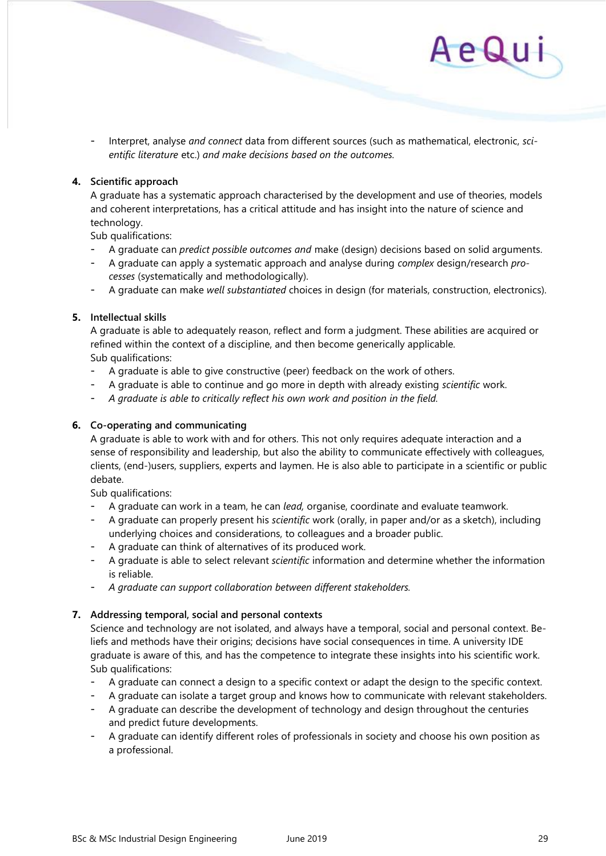

- Interpret, analyse *and connect* data from different sources (such as mathematical, electronic, *scientific literature* etc.) *and make decisions based on the outcomes.*

## **4. Scientific approach**

A graduate has a systematic approach characterised by the development and use of theories, models and coherent interpretations, has a critical attitude and has insight into the nature of science and technology.

Sub qualifications:

- A graduate can *predict possible outcomes and* make (design) decisions based on solid arguments.
- A graduate can apply a systematic approach and analyse during *complex* design/research *processes* (systematically and methodologically).
- A graduate can make *well substantiated* choices in design (for materials, construction, electronics).

## **5. Intellectual skills**

A graduate is able to adequately reason, reflect and form a judgment. These abilities are acquired or refined within the context of a discipline, and then become generically applicable. Sub qualifications:

- A graduate is able to give constructive (peer) feedback on the work of others.
- A graduate is able to continue and go more in depth with already existing *scientific* work.
- *A graduate is able to critically reflect his own work and position in the field.*

## **6. Co-operating and communicating**

A graduate is able to work with and for others. This not only requires adequate interaction and a sense of responsibility and leadership, but also the ability to communicate effectively with colleagues, clients, (end-)users, suppliers, experts and laymen. He is also able to participate in a scientific or public debate.

Sub qualifications:

- A graduate can work in a team, he can *lead,* organise, coordinate and evaluate teamwork.
- A graduate can properly present his *scientific* work (orally, in paper and/or as a sketch), including underlying choices and considerations, to colleagues and a broader public.
- A graduate can think of alternatives of its produced work.
- A graduate is able to select relevant *scientific* information and determine whether the information is reliable.
- *A graduate can support collaboration between different stakeholders.*

## **7. Addressing temporal, social and personal contexts**

Science and technology are not isolated, and always have a temporal, social and personal context. Beliefs and methods have their origins; decisions have social consequences in time. A university IDE graduate is aware of this, and has the competence to integrate these insights into his scientific work. Sub qualifications:

- A graduate can connect a design to a specific context or adapt the design to the specific context.
- A graduate can isolate a target group and knows how to communicate with relevant stakeholders.
- A graduate can describe the development of technology and design throughout the centuries and predict future developments.
- A graduate can identify different roles of professionals in society and choose his own position as a professional.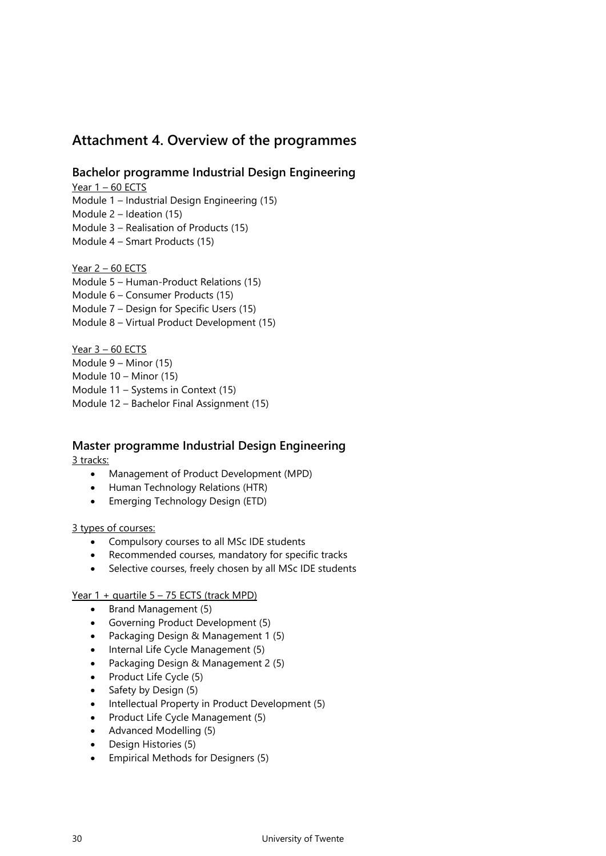## <span id="page-29-0"></span>**Attachment 4. Overview of the programmes**

## **Bachelor programme Industrial Design Engineering**

Year  $1 - 60$  ECTS

Module 1 – Industrial Design Engineering (15)

Module 2 – Ideation (15)

- Module 3 Realisation of Products (15)
- Module 4 Smart Products (15)

## Year  $2 - 60$  ECTS

Module 5 – Human-Product Relations (15) Module 6 – Consumer Products (15) Module 7 – Design for Specific Users (15) Module 8 – Virtual Product Development (15)

Year 3 – 60 ECTS Module 9 – Minor (15) Module 10 – Minor (15) Module 11 – Systems in Context (15) Module 12 – Bachelor Final Assignment (15)

## **Master programme Industrial Design Engineering**

3 tracks:

- Management of Product Development (MPD)
- Human Technology Relations (HTR)
- Emerging Technology Design (ETD)

## 3 types of courses:

- Compulsory courses to all MSc IDE students
- Recommended courses, mandatory for specific tracks
- Selective courses, freely chosen by all MSc IDE students

## Year  $1 +$  quartile  $5 - 75$  ECTS (track MPD)

- Brand Management (5)
- Governing Product Development (5)
- Packaging Design & Management 1 (5)
- Internal Life Cycle Management (5)
- Packaging Design & Management 2 (5)
- Product Life Cycle (5)
- Safety by Design (5)
- Intellectual Property in Product Development (5)
- Product Life Cycle Management (5)
- Advanced Modelling (5)
- Design Histories (5)
- Empirical Methods for Designers (5)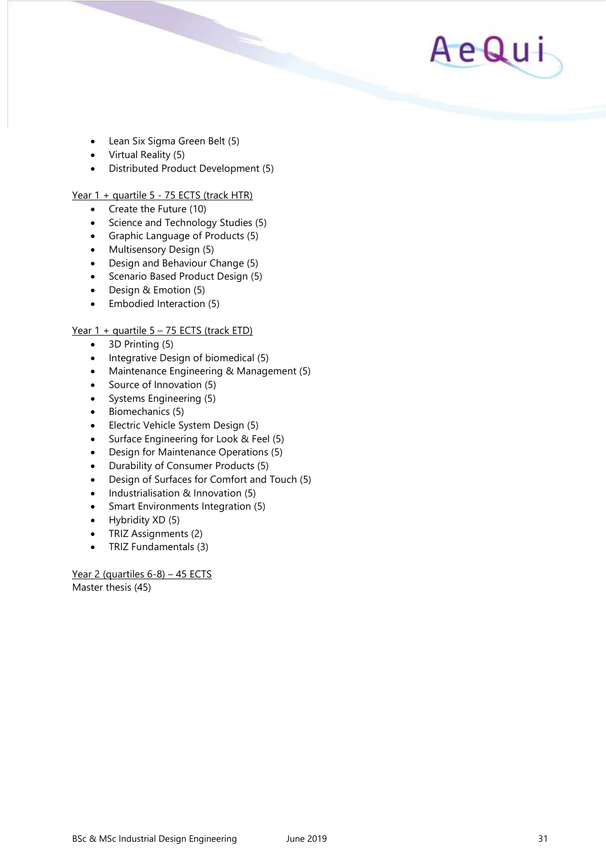

- Lean Six Sigma Green Belt (5)
- Virtual Reality (5)
- Distributed Product Development (5)

### Year 1 + quartile 5 - 75 ECTS (track HTR)

- Create the Future (10)
- Science and Technology Studies (5)
- Graphic Language of Products (5)
- Multisensory Design (5)
- Design and Behaviour Change (5)
- Scenario Based Product Design (5)
- Design & Emotion (5)
- Embodied Interaction (5)

## Year 1 + quartile 5 - 75 ECTS (track ETD)

- 3D Printing (5)
- Integrative Design of biomedical (5)
- Maintenance Engineering & Management (5)
- Source of Innovation (5)
- Systems Engineering (5)
- Biomechanics (5)
- Electric Vehicle System Design (5)
- Surface Engineering for Look & Feel (5)
- Design for Maintenance Operations (5)
- Durability of Consumer Products (5)
- Design of Surfaces for Comfort and Touch (5)
- Industrialisation & Innovation (5)
- Smart Environments Integration (5)
- Hybridity XD (5)
- TRIZ Assignments (2)
- TRIZ Fundamentals (3)

Year 2 (quartiles 6-8) - 45 ECTS Master thesis (45)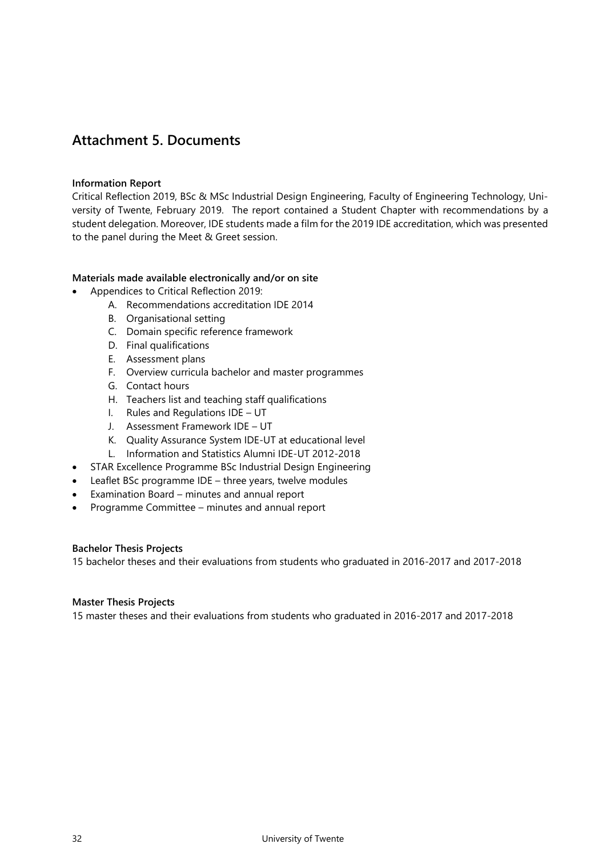## <span id="page-31-0"></span>**Attachment 5. Documents**

## **Information Report**

Critical Reflection 2019, BSc & MSc Industrial Design Engineering, Faculty of Engineering Technology, University of Twente, February 2019. The report contained a Student Chapter with recommendations by a student delegation. Moreover, IDE students made a film for the 2019 IDE accreditation, which was presented to the panel during the Meet & Greet session.

### **Materials made available electronically and/or on site**

- Appendices to Critical Reflection 2019:
	- A. Recommendations accreditation IDE 2014
	- B. Organisational setting
	- C. Domain specific reference framework
	- D. Final qualifications
	- E. Assessment plans
	- F. Overview curricula bachelor and master programmes
	- G. Contact hours
	- H. Teachers list and teaching staff qualifications
	- I. Rules and Regulations IDE UT
	- J. Assessment Framework IDE UT
	- K. Quality Assurance System IDE-UT at educational level
	- L. Information and Statistics Alumni IDE-UT 2012-2018
- STAR Excellence Programme BSc Industrial Design Engineering
- Leaflet BSc programme IDE three years, twelve modules
- Examination Board minutes and annual report
- Programme Committee minutes and annual report

#### **Bachelor Thesis Projects**

15 bachelor theses and their evaluations from students who graduated in 2016-2017 and 2017-2018

### **Master Thesis Projects**

15 master theses and their evaluations from students who graduated in 2016-2017 and 2017-2018